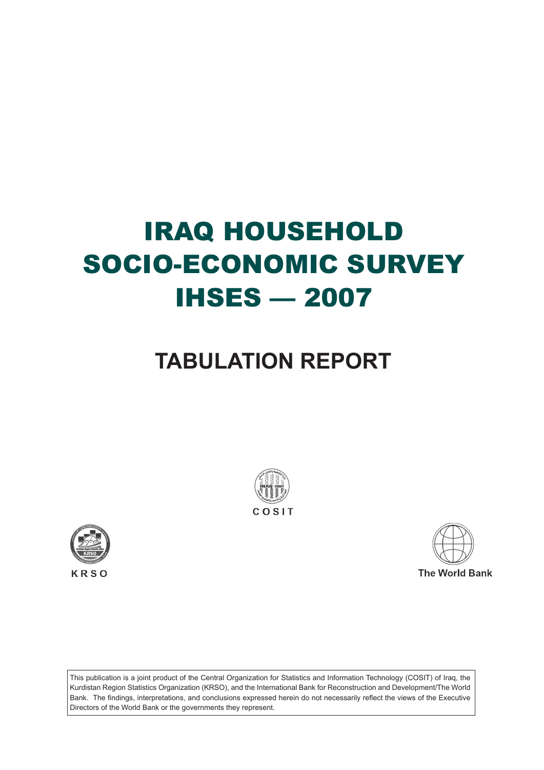# IRAQ HOUSEHOLD SOCIO-ECONOMIC SURVEY IHSES — 2007

# **TABULATION REPORT**







This publication is a joint product of the Central Organization for Statistics and Information Technology (COSIT) of Iraq, the Kurdistan Region Statistics Organization (KRSO), and the International Bank for Reconstruction and Development/The World Bank. The findings, interpretations, and conclusions expressed herein do not necessarily reflect the views of the Executive Directors of the World Bank or the governments they represent.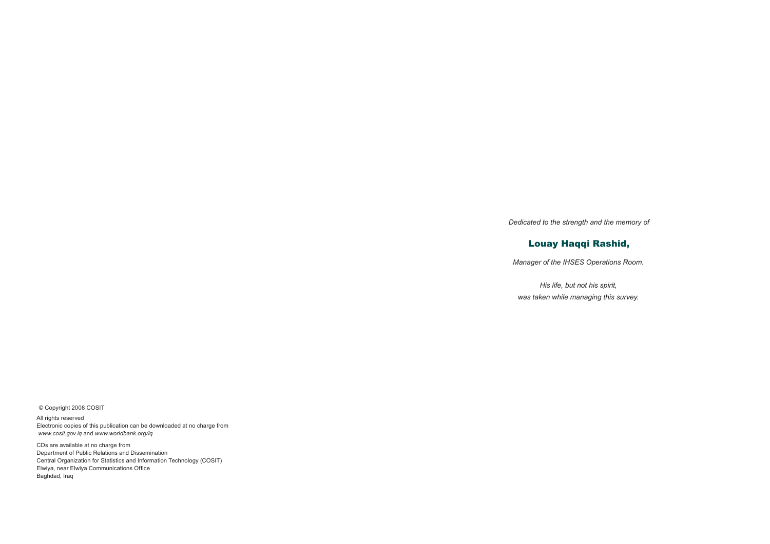© Copyright 2008 COSIT

All rights reserved Electronic copies of this publication can be downloaded at no charge from *www.cosit.gov.iq* and *www.worldbank.org/iq*

CDs are available at no charge from Department of Public Relations and Dissemination Central Organization for Statistics and Information Technology (COSIT) Elwiya, near Elwiya Communications Office Baghdad, Iraq

*Dedicated to the strength and the memory of*

# Louay Haqqi Rashid,

*Manager of the IHSES Operations Room.*

*His life, but not his spirit, was taken while managing this survey.*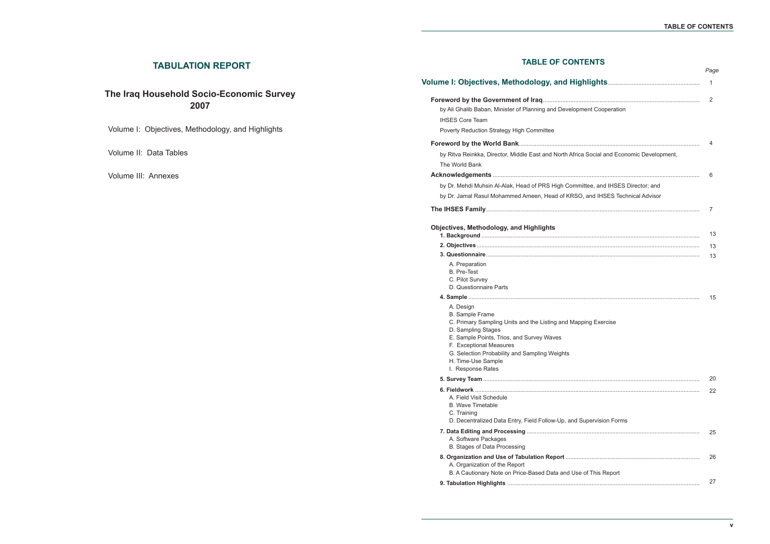# **TABLE OF CONTENTS**

# **Volume I: Objectives, Methodology, and Hightsa... Foreword by the Government of Iraq**................................................................................................. by Ali Ghalib Baban, Minister of Planning and Developm IHSES Core Team Poverty Reduction Strategy High Committee **Foreword by the World Bank**................................................................................................................ by Ritva Reinkka, Director, Middle East and North Africa The World Bank **Acknowledgements** ................................................................................................................................ by Dr. Mehdi Muhsin Al-Alak, Head of PRS High Commi by Dr. Jamal Rasul Mohammed Ameen, Head of KRSO **The IHSES Family**.................................................................................................................................... **Objectives, Methodology, and Highlights 1. Background** ....................................................................................................................................... **2. Objectives**.......................................................................................................................................... **3. Questionnaire**.................................................................................................................................... A. Preparation B. Pre-Test C. Pilot Survey D. Questionnaire Parts **4. Sample** ....... A. Design B. Sample Frame C. Primary Sampling Units and the Listing and Mapp D. Sampling Stages E. Sample Points, Trios, and Survey Waves F. Exceptional Measures G. Selection Probability and Sampling Weights H. Time-Use Sample I. Response Rates **5. Survey Team**...................................................................................................................................... **6. Fieldwork** ........................................................................................................................................... A. Field Visit Schedule B. Wave Timetable C. Training D. Decentralized Data Entry, Field Follow-Up, and Super **7. Data Editing and Processing** ........................................................................................................... A. Software Packages B. Stages of Data Processing **8. Organization and Use of Tabulation Report** ................................................................................... A. Organization of the Report B. A Cautionary Note on Price-Based Data and Use **9. Tabulation Highlights** .......................................................................................................................

# **TABULATION REPORT**

# **The Iraq Household Socio-Economic Survey 2007**

Volume I: Objectives, Methodology, and Highlights

Volume II: Data Tables

Volume III: Annexes

|                                                                 | 1        |
|-----------------------------------------------------------------|----------|
| nent Cooperation                                                | 2        |
| a Social and Economic Development,                              | 4        |
| ittee, and IHSES Director; and<br>, and IHSES Technical Advisor | 6        |
|                                                                 | 7        |
|                                                                 | 13       |
|                                                                 | 13<br>13 |
| ping Exercise                                                   | 15       |
|                                                                 | 20       |
| upervision Forms                                                | 22       |
|                                                                 | 25       |
| of This Report                                                  | 26       |
|                                                                 | 27       |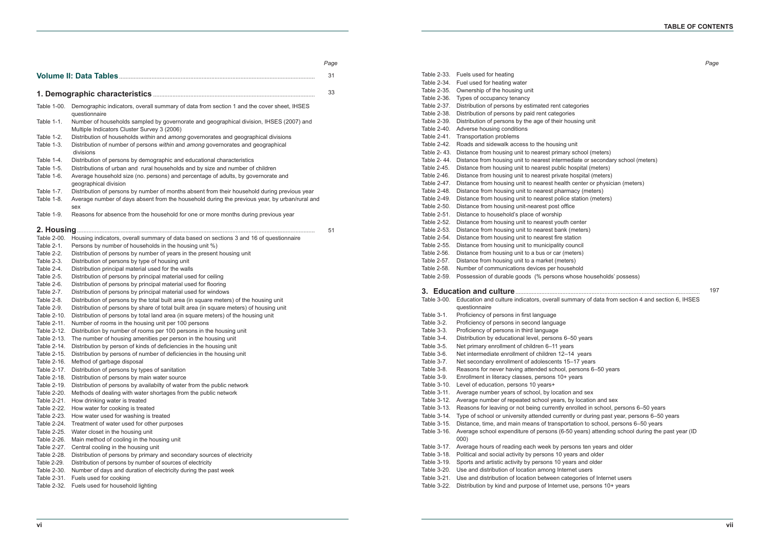ool (meters) the 2- bis condary school (meters) tal (meters) bital (meters) ter or physician (meters) (meters) ion (meters) thouseholds' possess) ry of data from section 4 and section 6, IHSES ons 6-50 years ration and sex ed in school, persons 6–50 years r during past year, persons 6–50 years to school, persons 6–50 years ars) attending school during the past year (ID ten years and older and older nd older Table 3-21. Use and distribution of location between categories of Internet users Table 3-22. Distribution by kind and purpose of Internet use, persons 10+ years 197

| Table 1-00.                | Demographic indicators, overall summary of data from section 1 and the cover sheet, IHSES<br>questionnaire                                                                           |
|----------------------------|--------------------------------------------------------------------------------------------------------------------------------------------------------------------------------------|
| Table 1-1.                 | Number of households sampled by governorate and geographical division, IHSES (2007) and<br>Multiple Indicators Cluster Survey 3 (2006)                                               |
| Table 1-2.<br>Table 1-3.   | Distribution of households within and among governorates and geographical divisions<br>Distribution of number of persons within and among governorates and geographical<br>divisions |
| Table 1-4.                 | Distribution of persons by demographic and educational characteristics                                                                                                               |
| Table 1-5.                 | Distributions of urban and rural households and by size and number of children                                                                                                       |
| Table 1-6.                 | Average household size (no. persons) and percentage of adults, by governorate and<br>geographical division                                                                           |
| Table 1-7.                 | Distribution of persons by number of months absent from their household during previous year                                                                                         |
| Table 1-8.                 | Average number of days absent from the household during the previous year, by urban/rural and<br>sex                                                                                 |
| Table 1-9.                 | Reasons for absence from the household for one or more months during previous year                                                                                                   |
|                            |                                                                                                                                                                                      |
| Table 2-00.                | Housing indicators, overall summary of data based on sections 3 and 16 of questionnaire                                                                                              |
| Table 2-1.                 | Persons by number of households in the housing unit %)                                                                                                                               |
| Table 2-2.                 | Distribution of persons by number of years in the present housing unit                                                                                                               |
| Table 2-3.                 | Distribution of persons by type of housing unit                                                                                                                                      |
| Table 2-4.                 | Distribution principal material used for the walls                                                                                                                                   |
| Table 2-5.                 | Distribution of persons by principal material used for ceiling                                                                                                                       |
| Table 2-6.                 | Distribution of persons by principal material used for flooring                                                                                                                      |
| Table 2-7.                 | Distribution of persons by principal material used for windows                                                                                                                       |
| Table 2-8.                 | Distribution of persons by the total built area (in square meters) of the housing unit                                                                                               |
| Table 2-9.                 | Distribution of persons by share of total built area (in square meters) of housing unit                                                                                              |
| Table 2-10.                | Distribution of persons by total land area (in square meters) of the housing unit                                                                                                    |
| Table 2-11.<br>Table 2-12. | Number of rooms in the housing unit per 100 persons                                                                                                                                  |
| Table 2-13.                | Distribution by number of rooms per 100 persons in the housing unit<br>The number of housing amenities per person in the housing unit                                                |
| Table 2-14.                | Distribution by person of kinds of deficiencies in the housing unit                                                                                                                  |
| Table 2-15.                | Distribution by persons of number of deficiencies in the housing unit                                                                                                                |
| Table 2-16.                | Method of garbage disposal                                                                                                                                                           |
| Table 2-17.                | Distribution of persons by types of sanitation                                                                                                                                       |
| Table 2-18.                | Distribution of persons by main water source                                                                                                                                         |
| Table 2-19.                | Distribution of persons by availabilty of water from the public network                                                                                                              |
| Table 2-20.                | Methods of dealing with water shortages from the public network                                                                                                                      |
| Table 2-21.                | How drinking water is treated                                                                                                                                                        |
| Table 2-22.                | How water for cooking is treated                                                                                                                                                     |
| Table 2-23.                | How water used for washing is treated                                                                                                                                                |
| Table 2-24.                | Treatment of water used for other purposes                                                                                                                                           |
| Table 2-25.                | Water closet in the housing unit                                                                                                                                                     |
| Table 2-26.                | Main method of cooling in the housing unit                                                                                                                                           |
| Table 2-27.                | Central cooling in the housing unit                                                                                                                                                  |
| Table 2-28.                | Distribution of persons by primary and secondary sources of electricity                                                                                                              |
| Table 2-29.                | Distribution of persons by number of sources of electricity                                                                                                                          |
| Table 2-30.                | Number of days and duration of electricity during the past week                                                                                                                      |
| Table 2-31.                | Fuels used for cooking                                                                                                                                                               |
|                            | Table 2-32. Fuels used for household lighting                                                                                                                                        |
|                            |                                                                                                                                                                                      |

|             | Table 2-33. Fuels used for heating                                                                   |
|-------------|------------------------------------------------------------------------------------------------------|
| Table 2-34. | Fuel used for heating water                                                                          |
| Table 2-35. | Ownership of the housing unit                                                                        |
| Table 2-36. | Types of occupancy tenancy                                                                           |
| Table 2-37. | Distribution of persons by estimated rent categories                                                 |
| Table 2-38. | Distribution of persons by paid rent categories                                                      |
| Table 2-39. | Distribution of persons by the age of their housing unit                                             |
| Table 2-40. | Adverse housing conditions                                                                           |
| Table 2-41. | Transportation problems                                                                              |
| Table 2-42. | Roads and sidewalk access to the housing unit                                                        |
| Table 2-43. | Distance from housing unit to nearest primary school (meters)                                        |
| Table 2-44. | Distance from housing unit to nearest intermediate or secondary school (meters)                      |
| Table 2-45. | Distance from housing unit to nearest public hospital (meters)                                       |
| Table 2-46. | Distance from housing unit to nearest private hospital (meters)                                      |
| Table 2-47. | Distance from housing unit to nearest health center or physician (meters)                            |
| Table 2-48. | Distance from housing unit to nearest pharmacy (meters)                                              |
| Table 2-49. | Distance from housing unit to nearest police station (meters)                                        |
| Table 2-50. | Distance from housing unit-nearest post office                                                       |
| Table 2-51. | Distance to household's place of worship                                                             |
| Table 2-52. | Distance from housing unit to nearest youth center                                                   |
| Table 2-53. | Distance from housing unit to nearest bank (meters)                                                  |
| Table 2-54. | Distance from housing unit to nearest fire station                                                   |
| Table 2-55. | Distance from housing unit to municipality council                                                   |
| Table 2-56. | Distance from housing unit to a bus or car (meters)                                                  |
| Table 2-57. | Distance from housing unit to a market (meters)                                                      |
| Table 2-58. | Number of communications devices per household                                                       |
| Table 2-59. | Possession of durable goods (% persons whose households' possess)                                    |
|             |                                                                                                      |
| Table 3-00. |                                                                                                      |
|             | Education and culture indicators, overall summary of data from section 4 and section 6, IHSES        |
| Table 3-1.  | questionnaire                                                                                        |
|             | Proficiency of persons in first language                                                             |
| Table 3-2.  | Proficiency of persons in second language                                                            |
| Table 3-3.  | Proficiency of persons in third language                                                             |
| Table 3-4.  | Distribution by educational level, persons 6-50 years                                                |
| Table 3-5.  | Net primary enrollment of children 6-11 years                                                        |
| Table 3-6.  | Net intermediate enrollment of children 12-14 years                                                  |
| Table 3-7.  | Net secondary enrollment of adolescents 15-17 years                                                  |
| Table 3-8.  | Reasons for never having attended school, persons 6-50 years                                         |
| Table 3-9.  | Enrollment in literacy classes, persons 10+ years                                                    |
| Table 3-10. | Level of education, persons 10 years+                                                                |
| Table 3-11. | Average number years of school, by location and sex                                                  |
| Table 3-12. | Average number of repeated school years, by location and sex                                         |
| Table 3-13. | Reasons for leaving or not being currently enrolled in school, persons 6-50 years                    |
| Table 3-14. | Type of school or university attended currently or during past year, persons 6-50 years              |
| Table 3-15. | Distance, time, and main means of transportation to school, persons 6-50 years                       |
| Table 3-16. | Average school expenditure of persons (6-50 years) attending school during the past year (ID<br>000) |
| Table 3-17. | Average hours of reading each week by persons ten years and older                                    |
| Table 3-18. | Political and social activity by persons 10 years and older                                          |
| Table 3-19. | Sports and artistic activity by persons 10 years and older                                           |
| Table 3-20. | Use and distribution of location among Internet users                                                |

```
Page
```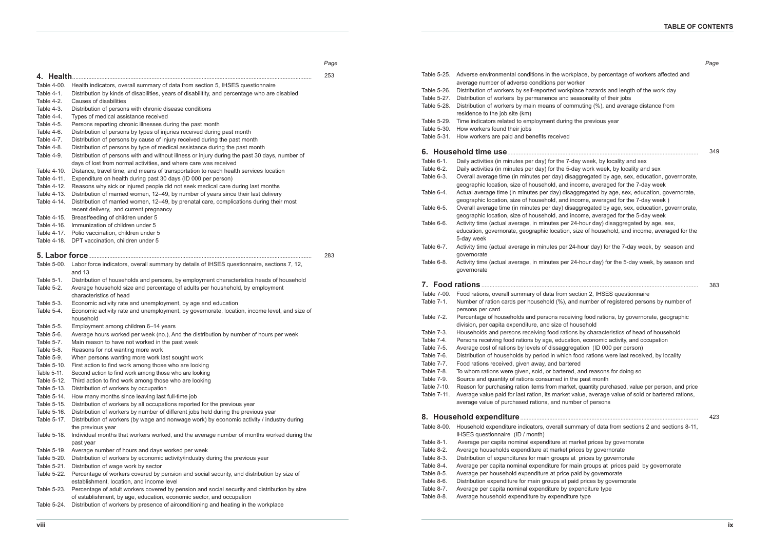xplace, by percentage of workers affected and place hazards and length of the work day seasonality of their jobs mmuting (%), and average distance from the previous year day week, by locality and sex day work week, by locality and sex saggregated by age, sex, education, governorate, income, averaged for the 7-day week aggregated by age, sex, education, governorate, income, averaged for the 7-day week ) saggregated by age, sex, education, governorate, ncome, averaged for the 5-day week 24-hour day) disaggregated by age, sex, size of household, and income, averaged for the 24-hour day) for the 7-day week, by season and 24-hour day) for the 5-day week, by season and ection 2, IHSES questionnaire Ind number of registered persons by number of ving food rations, by governorate, geographic household ons by characteristics of head of household tion, economic activity, and occupation egation (ID 000 per person) food rations were last received, by locality d, and reasons for doing so the past month et, quantity purchased, value per person, and price value, average value of sold or bartered rations, nber of persons mmary of data from sections 2 and sections 8-11, narket prices by governorate rices by governorate at prices by governorate nain groups at prices paid by governorate paid by governorate aid prices by governorate xpenditure type *Page* 349 383 423

|                          |                                                                                                                                                                           | Page |             |                                                                                                                                                                                |
|--------------------------|---------------------------------------------------------------------------------------------------------------------------------------------------------------------------|------|-------------|--------------------------------------------------------------------------------------------------------------------------------------------------------------------------------|
| Health.<br>4.            |                                                                                                                                                                           | 253  |             | Table 5-25. Adverse environmental conditions in the workplace, by percentage of workers affected and                                                                           |
| Table 4-00.              | Health indicators, overall summary of data from section 5, IHSES questionnaire                                                                                            |      |             | average number of adverse conditions per worker                                                                                                                                |
| Table 4-1.               | Distribution by kinds of disabilities, years of disabilitity, and percentage who are disabled                                                                             |      |             | Table 5-26. Distribution of workers by self-reported workplace hazards and length of the work day                                                                              |
| Table 4-2.               | Causes of disabilities                                                                                                                                                    |      |             | Table 5-27. Distribution of workers by permanence and seasonality of their jobs                                                                                                |
| Table 4-3.               | Distribution of persons with chronic disease conditions                                                                                                                   |      |             | Table 5-28. Distribution of workers by main means of commuting (%), and average distance from                                                                                  |
| Table 4-4.               | Types of medical assistance received                                                                                                                                      |      |             | residence to the job site (km)                                                                                                                                                 |
| Table 4-5.               | Persons reporting chronic illnesses during the past month                                                                                                                 |      | Table 5-29. | Time indicators related to employment during the previous year                                                                                                                 |
| Table 4-6.               | Distribution of persons by types of injuries received during past month                                                                                                   |      |             | Table 5-30. How workers found their jobs                                                                                                                                       |
| Table 4-7.               | Distribution of persons by cause of injury received during the past month                                                                                                 |      |             | Table 5-31. How workers are paid and benefits received                                                                                                                         |
| Table 4-8.               | Distribution of persons by type of medical assistance during the past month                                                                                               |      |             |                                                                                                                                                                                |
| Table 4-9.               | Distribution of persons with and without illness or injury during the past 30 days, number of                                                                             |      |             |                                                                                                                                                                                |
|                          | days of lost from normal activities, and where care was received                                                                                                          |      | Table 6-1.  | Daily activities (in minutes per day) for the 7-day week, by locality and sex                                                                                                  |
|                          | Table 4-10. Distance, travel time, and means of transportation to reach health services location                                                                          |      | Table 6-2.  | Daily activities (in minutes per day) for the 5-day work week, by locality and sex                                                                                             |
|                          | Table 4-11. Expenditure on health during past 30 days (ID 000 per person)                                                                                                 |      | Table 6-3.  | Overall average time (in minutes per day) disaggregated by age, sex, education, governorate,                                                                                   |
|                          | Table 4-12. Reasons why sick or injured people did not seek medical care during last months                                                                               |      |             | geographic location, size of household, and income, averaged for the 7-day week<br>Actual average time (in minutes per day) disaggregated by age, sex, education, governorate, |
| Table 4-13.              | Distribution of married women, 12-49, by number of years since their last delivery                                                                                        |      | Table 6-4.  | geographic location, size of household, and income, averaged for the 7-day week)                                                                                               |
|                          | Table 4-14. Distribution of married women, 12-49, by prenatal care, complications during their most                                                                       |      | Table 6-5.  | Overall average time (in minutes per day) disaggregated by age, sex, education, governorate,                                                                                   |
|                          | recent delivery, and current pregnancy                                                                                                                                    |      |             | geographic location, size of household, and income, averaged for the 5-day week                                                                                                |
|                          | Table 4-15. Breastfeeding of children under 5                                                                                                                             |      | Table 6-6.  | Activity time (actual average, in minutes per 24-hour day) disaggregated by age, sex,                                                                                          |
|                          | Table 4-16. Immunization of children under 5                                                                                                                              |      |             | education, governorate, geographic location, size of household, and income, averaged for the                                                                                   |
|                          | Table 4-17. Polio vaccination, children under 5                                                                                                                           |      |             | 5-day week                                                                                                                                                                     |
|                          | Table 4-18. DPT vaccination, children under 5                                                                                                                             |      | Table 6-7.  | Activity time (actual average in minutes per 24-hour day) for the 7-day week, by season and                                                                                    |
|                          |                                                                                                                                                                           | 283  |             | qovernorate                                                                                                                                                                    |
|                          |                                                                                                                                                                           |      | Table 6-8.  | Activity time (actual average, in minutes per 24-hour day) for the 5-day week, by season and                                                                                   |
|                          | Table 5-00. Labor force indicators, overall summary by details of IHSES questionnaire, sections 7, 12,                                                                    |      |             | governorate                                                                                                                                                                    |
|                          | and 13                                                                                                                                                                    |      |             |                                                                                                                                                                                |
| Table 5-1.<br>Table 5-2. | Distribution of households and persons, by employment characteristics heads of household<br>Average household size and percentage of adults per houshehold, by employment |      |             |                                                                                                                                                                                |
|                          | characteristics of head                                                                                                                                                   |      |             | Table 7-00. Food rations, overall summary of data from section 2, IHSES questionnaire                                                                                          |
| Table 5-3.               | Economic activity rate and unemployment, by age and education                                                                                                             |      | Table 7-1.  | Number of ration cards per household (%), and number of registered persons by number of                                                                                        |
| Table 5-4.               | Economic activity rate and unemployment, by governorate, location, income level, and size of                                                                              |      |             | persons per card                                                                                                                                                               |
|                          | household                                                                                                                                                                 |      | Table 7-2.  | Percentage of households and persons receiving food rations, by governorate, geographic                                                                                        |
| Table 5-5.               | Employment among children 6-14 years                                                                                                                                      |      |             | division, per capita expenditure, and size of household                                                                                                                        |
| Table 5-6.               | Average hours worked per week (no.), And the distribution by number of hours per week                                                                                     |      | Table 7-3.  | Households and persons receiving food rations by characteristics of head of household                                                                                          |
| Table 5-7.               | Main reason to have not worked in the past week                                                                                                                           |      | Table 7-4.  | Persons receiving food rations by age, education, economic activity, and occupation                                                                                            |
| Table 5-8.               | Reasons for not wanting more work                                                                                                                                         |      |             | Table 7-5. Average cost of rations by levels of dissaggregation (ID 000 per person)                                                                                            |
| Table 5-9.               | When persons wanting more work last sought work                                                                                                                           |      | Table 7-6.  | Distribution of households by period in which food rations were last received, by locality                                                                                     |
|                          | Table 5-10. First action to find work among those who are looking                                                                                                         |      | Table 7-7.  | Food rations received, given away, and bartered                                                                                                                                |
| Table 5-11.              | Second action to find work among those who are looking                                                                                                                    |      | Table 7-8.  | To whom rations were given, sold, or bartered, and reasons for doing so                                                                                                        |
| Table 5-12.              | Third action to find work among those who are looking                                                                                                                     |      | Table 7-9.  | Source and quantity of rations consumed in the past month                                                                                                                      |
| Table 5-13.              | Distribution of workers by occupation                                                                                                                                     |      | Table 7-10. | Reason for purchasing ration items from market, quantity purchased, value per person, and price                                                                                |
| Table 5-14.              | How many months since leaving last full-time job                                                                                                                          |      | Table 7-11. | Average value paid for last ration, its market value, average value of sold or bartered rations,                                                                               |
| Table 5-15.              | Distribution of workers by all occupations reported for the previous year                                                                                                 |      |             | average value of purchased rations, and number of persons                                                                                                                      |
|                          | Table 5-16. Distribution of workers by number of different jobs held during the previous year                                                                             |      |             |                                                                                                                                                                                |
|                          | Table 5-17. Distribution of workers (by wage and nonwage work) by economic activity / industry during                                                                     |      |             |                                                                                                                                                                                |
|                          | the previous year                                                                                                                                                         |      |             | Table 8-00. Household expenditure indicators, overall summary of data from sections 2 and sections 8-11,                                                                       |
|                          | Table 5-18. Individual months that workers worked, and the average number of months worked during the                                                                     |      |             | IHSES questionnaire (ID / month)                                                                                                                                               |
|                          | past year                                                                                                                                                                 |      | Table 8-1.  | Average per capita nominal expenditure at market prices by governorate                                                                                                         |
|                          | Table 5-19. Average number of hours and days worked per week                                                                                                              |      | Table 8-2.  | Average households expenditure at market prices by governorate                                                                                                                 |
|                          | Table 5-20. Distribution of workers by economic activity/industry during the previous year                                                                                |      | Table 8-3.  | Distribution of expenditures for main groups at prices by governorate                                                                                                          |
| Table 5-21.              | Distribution of wage work by sector                                                                                                                                       |      | Table 8-4.  | Average per capita nominal expenditure for main groups at prices paid by governorate                                                                                           |
|                          | Table 5-22. Percentage of workers covered by pension and social security, and distribution by size of                                                                     |      | Table 8-5.  | Average per household expenditure at price paid by governorate                                                                                                                 |
|                          | establishment, location, and income level                                                                                                                                 |      | Table 8-6.  | Distribution expenditure for main groups at paid prices by governorate                                                                                                         |
|                          | Table 5-23. Percentage of adult workers covered by pension and social security and distribution by size                                                                   |      | Table 8-7.  | Average per capita nominal expenditure by expenditure type                                                                                                                     |
|                          | of establishment, by age, education, economic sector, and occupation                                                                                                      |      | Table 8-8.  | Average household expenditure by expenditure type                                                                                                                              |
|                          | Table 5-24. Distribution of workers by presence of airconditioning and heating in the workplace                                                                           |      |             |                                                                                                                                                                                |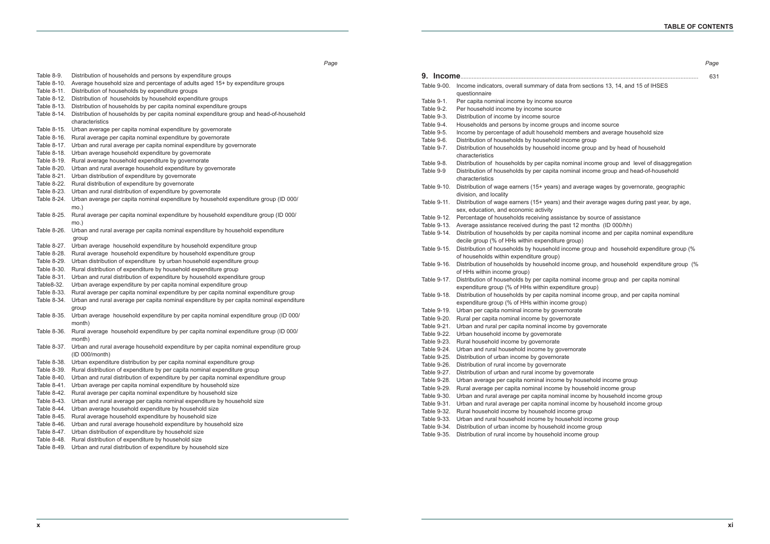| Table 8-9.  | Distribution of households and persons by expenditure groups                                      | 9.          |                                                                                                        |
|-------------|---------------------------------------------------------------------------------------------------|-------------|--------------------------------------------------------------------------------------------------------|
| Table 8-10. | Average household size and percentage of adults aged 15+ by expenditure groups                    |             | Table 9-00. Income indicators, overall summary of data from sections 13, 14, and 15 of IHSES           |
| Table 8-11. | Distribution of households by expenditure groups                                                  |             | questionnaire                                                                                          |
| Table 8-12. | Distribution of households by household expenditure groups                                        | Table 9-1.  | Per capita nominal income by income source                                                             |
| Table 8-13. | Distribution of households by per capita nominal expenditure groups                               | Table 9-2.  | Per household income by income source                                                                  |
| Table 8-14. | Distribution of households by per capita nominal expenditure group and head-of-household          | Table 9-3.  | Distribution of income by income source                                                                |
|             | characteristics                                                                                   | Table 9-4.  | Households and persons by income groups and income source                                              |
|             | Table 8-15. Urban average per capita nominal expenditure by governorate                           | Table 9-5.  | Income by percentage of adult household members and average household size                             |
| Table 8-16. | Rural average per capita nominal expenditure by governorate                                       | Table 9-6.  | Distribution of households by household income group                                                   |
|             | Table 8-17. Urban and rural average per capita nominal expenditure by governorate                 | Table 9-7.  | Distribution of households by household income group and by head of household                          |
|             | Table 8-18. Urban average household expenditure by governorate                                    |             | characteristics                                                                                        |
| Table 8-19. | Rural average household expenditure by governorate                                                | Table 9-8.  | Distribution of households by per capita nominal income group and level of disaggregation              |
| Table 8-20. | Urban and rural average household expenditure by governorate                                      | Table 9-9   | Distribution of households by per capita nominal income group and head-of-household                    |
| Table 8-21. | Urban distribution of expenditure by governorate                                                  |             | characteristics                                                                                        |
| Table 8-22. | Rural distribution of expenditure by governorate                                                  | Table 9-10. | Distribution of wage earners (15+ years) and average wages by governorate, geographic                  |
|             | Table 8-23. Urban and rural distribution of expenditure by governorate                            |             | division, and locality                                                                                 |
|             | Table 8-24. Urban average per capita nominal expenditure by household expenditure group (ID 000/  | Table 9-11. | Distribution of wage earners (15+ years) and their average wages during past year, by age,             |
|             | $mo.$ )                                                                                           |             | sex, education, and economic activity                                                                  |
| Table 8-25. | Rural average per capita nominal expenditure by household expenditure group (ID 000/              |             | Table 9-12. Percentage of households receiving assistance by source of assistance                      |
|             | $mo.$ )                                                                                           |             | Table 9-13. Average assistance received during the past 12 months (ID 000/hh)                          |
| Table 8-26. | Urban and rural average per capita nominal expenditure by household expenditure                   |             | Table 9-14. Distribution of households by per capita nominal income and per capita nominal expenditure |
|             | group                                                                                             |             | decile group (% of HHs within expenditure group)                                                       |
|             | Table 8-27. Urban average household expenditure by household expenditure group                    |             | Table 9-15. Distribution of households by household income group and household expenditure group (%    |
| Table 8-28. | Rural average household expenditure by household expenditure group                                |             | of households within expenditure group)                                                                |
| Table 8-29. | Urban distribution of expenditure by urban household expenditure group                            |             | Table 9-16. Distribution of households by household income group, and household expenditure group (%   |
| Table 8-30. | Rural distribution of expenditure by household expenditure group                                  |             | of HHs within income group)                                                                            |
| Table 8-31. | Urban and rural distribution of expenditure by household expenditure group                        |             | Table 9-17. Distribution of households by per capita nominal income group and per capita nominal       |
| Table8-32.  | Urban average expenditure by per capita nominal expenditure group                                 |             | expenditure group (% of HHs within expenditure group)                                                  |
| Table 8-33. | Rural average per capita nominal expenditure by per capita nominal expenditure group              |             | Table 9-18. Distribution of households by per capita nominal income group, and per capita nominal      |
| Table 8-34. | Urban and rural average per capita nominal expenditure by per capita nominal expenditure          |             | expenditure group (% of HHs within income group)                                                       |
|             | group                                                                                             |             | Table 9-19. Urban per capita nominal income by governorate                                             |
| Table 8-35. | Urban average household expenditure by per capita nominal expenditure group (ID 000/              |             | Table 9-20. Rural per capita nominal income by governorate                                             |
|             | month)                                                                                            |             | Table 9-21. Urban and rural per capita nominal income by governorate                                   |
| Table 8-36. | Rural average household expenditure by per capita nominal expenditure group (ID 000/              |             | Table 9-22. Urban household income by governorate                                                      |
|             | month)                                                                                            |             | Table 9-23. Rural household income by governorate                                                      |
|             | Table 8-37. Urban and rural average household expenditure by per capita nominal expenditure group |             | Table 9-24. Urban and rural household income by governorate                                            |
|             | (ID 000/month)                                                                                    |             | Table 9-25. Distribution of urban income by governorate                                                |
|             | Table 8-38. Urban expenditure distribution by per capita nominal expenditure group                |             | Table 9-26. Distribution of rural income by governorate                                                |
| Table 8-39. | Rural distribution of expenditure by per capita nominal expenditure group                         | Table 9-27. | Distribution of urban and rural income by governorate                                                  |
| Table 8-40. | Urban and rural distribution of expenditure by per capita nominal expenditure group               |             | Table 9-28. Urban average per capita nominal income by household income group                          |
| Table 8-41. | Urban average per capita nominal expenditure by household size                                    | Table 9-29. | Rural average per capita nominal income by household income group                                      |
| Table 8-42. | Rural average per capita nominal expenditure by household size                                    | Table 9-30. | Urban and rural average per capita nominal income by household income group                            |
| Table 8-43. | Urban and rural average per capita nominal expenditure by household size                          | Table 9-31. | Urban and rural average per capita nominal income by household income group                            |
| Table 8-44. | Urban average household expenditure by household size                                             | Table 9-32. | Rural household income by household income group                                                       |
| Table 8-45. | Rural average household expenditure by household size                                             | Table 9-33. | Urban and rural household income by household income group                                             |
| Table 8-46. | Urban and rural average household expenditure by household size                                   | Table 9-34. | Distribution of urban income by household income group                                                 |
| Table 8-47. | Urban distribution of expenditure by household size                                               |             | Table 9-35. Distribution of rural income by household income group                                     |
| Table 8-48. | Rural distribution of expenditure by household size                                               |             |                                                                                                        |
| Table 8-49. | Urban and rural distribution of expenditure by household size                                     |             |                                                                                                        |

|                                                                                                                                    | Page |
|------------------------------------------------------------------------------------------------------------------------------------|------|
| .                                                                                                                                  | 631  |
| sections 13, 14, and 15 of IHSES                                                                                                   |      |
|                                                                                                                                    |      |
|                                                                                                                                    |      |
| income source<br>ers and average household size<br>group                                                                           |      |
| group and by head of household                                                                                                     |      |
| income group and level of disaggregation<br>income group and head-of-household                                                     |      |
| rage wages by governorate, geographic                                                                                              |      |
| ir average wages during past year, by age,                                                                                         |      |
| by source of assistance<br>months (ID 000/hh)<br>income and per capita nominal expenditure                                         |      |
| group and household expenditure group (%                                                                                           |      |
| group, and household expenditure group (%                                                                                          |      |
| income group and per capita nominal                                                                                                |      |
| group)<br>income group, and per capita nominal<br>p)                                                                               |      |
|                                                                                                                                    |      |
| vernorate                                                                                                                          |      |
| te                                                                                                                                 |      |
|                                                                                                                                    |      |
| orate<br>usehold income group<br>sehold income group<br>me by household income group<br>me by household income group<br><b>OUD</b> |      |

- 
- 
- 

*Page*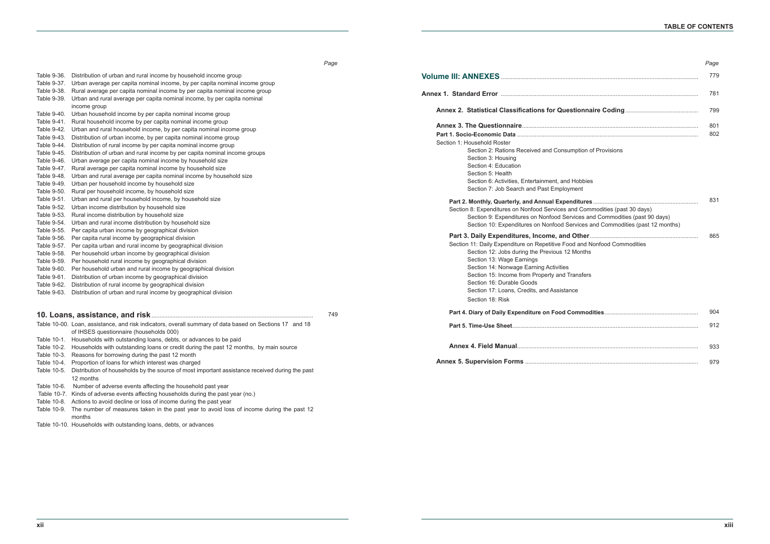Table 9-36. Distribution of urban and rural income by household income group Table 9-37. Urban average per capita nominal income, by per capita nominal income group Table 9-38. Rural average per capita nominal income by per capita nominal income group Table 9-39. Urban and rural average per capita nominal income, by per capita nominal income group Table 9-40. Urban household income by per capita nominal income group Table 9-41. Rural household income by per capita nominal income group Table 9-42. Urban and rural household income, by per capita nominal income group Table 9-43. Distribution of urban income, by per capita nominal income group Table 9-44. Distribution of rural income by per capita nominal income group Table 9-45. Distribution of urban and rural income by per capita nominal income groups Table 9-46. Urban average per capita nominal income by household size Table 9-47. Rural average per capita nominal income by household size Table 9-48. Urban and rural average per capita nominal income by household size Table 9-49. Urban per household income by household size Table 9-50. Rural per household income, by household size Table 9-51. Urban and rural per household income, by household size Table 9-52. Urban income distribution by household size Table 9-53. Rural income distribution by household size Table 9-54. Urban and rural income distribution by household size Table 9-55. Per capita urban income by geographical division Table 9-56. Per capita rural income by geographical division Table 9-57. Per capita urban and rural income by geographical division Table 9-58. Per household urban income by geographical division Table 9-59. Per household rural income by geographical division Table 9-60. Per household urban and rural income by geographical division Table 9-61. Distribution of urban income by geographical division Table 9-62. Distribution of rural income by geographical division Table 9-63. Distribution of urban and rural income by geographical division **10. Loans, assistance, and risk**.................................................................................................... Table 10-00. Loan, assistance, and risk indicators, overall summary of data based on Sections 17 and 18 of IHSES questionnaire (households 000) Table 10-1. Households with outstanding loans, debts, or advances to be paid Table 10-2. Households with outstanding loans or credit during the past 12 months, by main source Table 10-3. Reasons for borrowing during the past 12 month Table 10-4. Proportion of loans for which interest was charged Table 10-5. Distribution of households by the source of most important assistance received during the past 12 months Table 10-6. Number of adverse events affecting the household past year **Volume III: ANNEXES Annex 1. Standard Error** .......................................................................................................................... **Annex 2. Statistical Classifications for Question Annex 3. The Questionnaire**............................................................................................................. Part 1. Socio-Economic Data Section 1: Household Roster Section 2: Rations Received and Consumption of Provisions Section 3: Housing Section 4: Education Section 5: Health Section 6: Activities, Entertainment, and Hob Section 7: Job Search and Past Employment Part 2. Monthly, Quarterly, and Annual Expenditure Section 8: Expenditures on Nonfood Services and C Section 9: Expenditures on Nonfood Services Section 10: Expenditures on Nonfood Servic **Part 3. Daily Expenditures, Income, and Other...** Section 11: Daily Expenditure on Repetitive Food and Section 12: Jobs during the Previous 12 Months Section 13: Wage Farnings Section 14: Nonwage Earning Activities Section 15: Income from Property and Transfers Section 16: Durable Goods Section 17: Loans, Credits, and Assistance Section 18: Risk Part 4. Diary of Daily Expenditure on Food Comr Part 5. Time-Use Sheet..... **Annex 4. Field Manual**................................................................................................................ **Annex 5. Supervision Forms ..................................** 749

Table 10-7. Kinds of adverse events affecting households during the past year (no.)

Table 10-8. Actions to avoid decline or loss of income during the past year

Table 10-9. The number of measures taken in the past year to avoid loss of income during the past 12 months

Table 10-10. Households with outstanding loans, debts, or advances

| Page       |
|------------|
| 779        |
| 781        |
| 799        |
| 801<br>802 |
|            |

| I<br>$\sim$ | ×<br>× |  |
|-------------|--------|--|
|             |        |  |

|                                     | 831 |
|-------------------------------------|-----|
| Commodities (past 30 days)          |     |
| s and Commodities (past 90 days)    |     |
| es and Commodities (past 12 months) |     |
| 1er……………………………………………………………          | 865 |
| nd Nonfood Commodities              |     |
|                                     |     |

| nodities……………………………………………… |     |
|----------------------------|-----|
|                            | 912 |
|                            | 933 |
|                            |     |

*Page*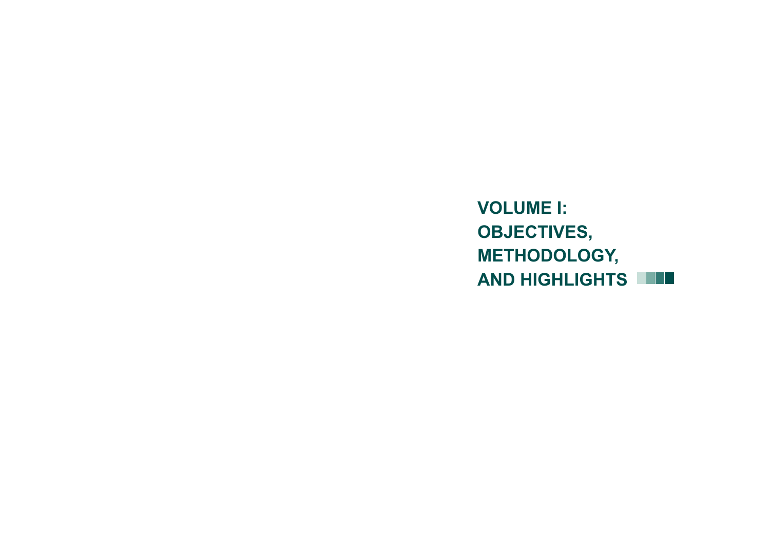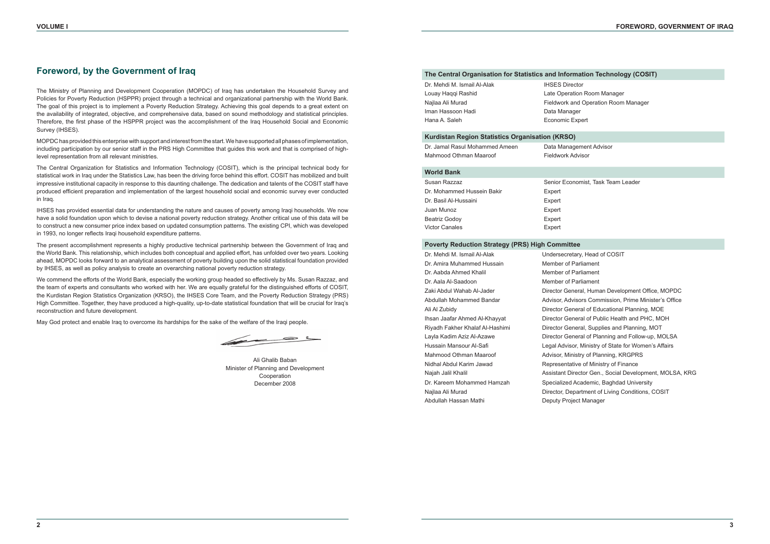# **Foreword, by the Government of Iraq**

The Ministry of Planning and Development Cooperation (MOPDC) of Iraq has undertaken the Household Survey and Policies for Poverty Reduction (HSPPR) project through a technical and organizational partnership with the World Bank. The goal of this project is to implement a Poverty Reduction Strategy. Achieving this goal depends to a great extent on the availability of integrated, objective, and comprehensive data, based on sound methodology and statistical principles. Therefore, the first phase of the HSPPR project was the accomplishment of the Iraq Household Social and Economic Survey (IHSES).

MOPDC has provided this enterprise with support and interest from the start. We have supported all phases of implementation, including participation by our senior staff in the PRS High Committee that guides this work and that is comprised of highlevel representation from all relevant ministries.

The Central Organization for Statistics and Information Technology (COSIT), which is the principal technical body for statistical work in Iraq under the Statistics Law, has been the driving force behind this effort. COSIT has mobilized and built impressive institutional capacity in response to this daunting challenge. The dedication and talents of the COSIT staff have produced efficient preparation and implementation of the largest household social and economic survey ever conducted in Iraq.

IHSES has provided essential data for understanding the nature and causes of poverty among Iraqi households. We now have a solid foundation upon which to devise a national poverty reduction strategy. Another critical use of this data will be to construct a new consumer price index based on updated consumption patterns. The existing CPI, which was developed in 1993, no longer reflects Iraqi household expenditure patterns.

The present accomplishment represents a highly productive technical partnership between the Government of Iraq and the World Bank. This relationship, which includes both conceptual and applied effort, has unfolded over two years. Looking ahead, MOPDC looks forward to an analytical assessment of poverty building upon the solid statistical foundation provided by IHSES, as well as policy analysis to create an overarching national poverty reduction strategy.

We commend the efforts of the World Bank, especially the working group headed so effectively by Ms. Susan Razzaz, and the team of experts and consultants who worked with her. We are equally grateful for the distinguished efforts of COSIT, the Kurdistan Region Statistics Organization (KRSO), the IHSES Core Team, and the Poverty Reduction Strategy (PRS) High Committee. Together, they have produced a high-quality, up-to-date statistical foundation that will be crucial for Iraq's reconstruction and future development.

May God protect and enable Iraq to overcome its hardships for the sake of the welfare of the Iraqi people.

 $\frac{1}{2}$ 

Ali Ghalib Baban Minister of Planning and Development Cooperation December 2008

### **The Central Organisation for Statistics and Information Technology (COSIT)**

| Dr. Mehdi M. Ismail Al-Alak | <b>IHSES Director</b>  |
|-----------------------------|------------------------|
| Louay Haggi Rashid          | Late Operation R       |
| Najlaa Ali Murad            | Fieldwork and Or       |
| Iman Hassoon Hadi           | Data Manager           |
| Hana A. Saleh               | <b>Economic Expert</b> |
|                             |                        |

#### **Kurdistan Region Statistics Organisation (KRSO)**

| Dr. Jamal Rasul Mohammed Ameen | Data Management Advisor |
|--------------------------------|-------------------------|
| Mahmood Othman Maaroof         | Fieldwork Advisor       |

#### **World Bank**

| Susan Razzaz               | Senior Economist, Task Team Leader |
|----------------------------|------------------------------------|
| Dr. Mohammed Hussein Bakir | Expert                             |
| Dr. Basil Al-Hussaini      | Expert                             |
| Juan Munoz                 | Expert                             |
| <b>Beatriz Godov</b>       | Expert                             |
| <b>Victor Canales</b>      | Expert                             |

#### **Poverty Reduction Strategy (PRS) High Committee**

| Dr. Mehdi M. Ismail Al-Alak     | Undersecretary, Head of COSIT                           |
|---------------------------------|---------------------------------------------------------|
| Dr. Amira Muhammed Hussain      | Member of Parliament                                    |
| Dr. Aabda Ahmed Khalil          | Member of Parliament                                    |
| Dr. Aala Al-Saadoon             | Member of Parliament                                    |
| Zaki Abdul Wahab Al-Jader       | Director General, Human Development Office, MOPDC       |
| Abdullah Mohammed Bandar        | Advisor, Advisors Commission, Prime Minister's Office   |
| Ali Al Zubidy                   | Director General of Educational Planning, MOE           |
| Ihsan Jaafar Ahmed Al-Khayyat   | Director General of Public Health and PHC, MOH          |
| Riyadh Fakher Khalaf Al-Hashimi | Director General, Supplies and Planning, MOT            |
| Layla Kadim Aziz Al-Azawe       | Director General of Planning and Follow-up, MOLSA       |
| Hussain Mansour Al-Safi         | Legal Advisor, Ministry of State for Women's Affairs    |
| Mahmood Othman Maaroof          | Advisor, Ministry of Planning, KRGPRS                   |
| Nidhal Abdul Karim Jawad        | Representative of Ministry of Finance                   |
| Najah Jalil Khalil              | Assistant Director Gen., Social Development, MOLSA, KRG |
| Dr. Kareem Mohammed Hamzah      | Specialized Academic, Baghdad University                |
| Najlaa Ali Murad                | Director, Department of Living Conditions, COSIT        |
| Abdullah Hassan Mathi           | Deputy Project Manager                                  |

Room Manager Operation Room Manager

- 
- 
- 
- 
- 
- 
- 
- 
- 
- 
- 
- 
- 
- 
- 
-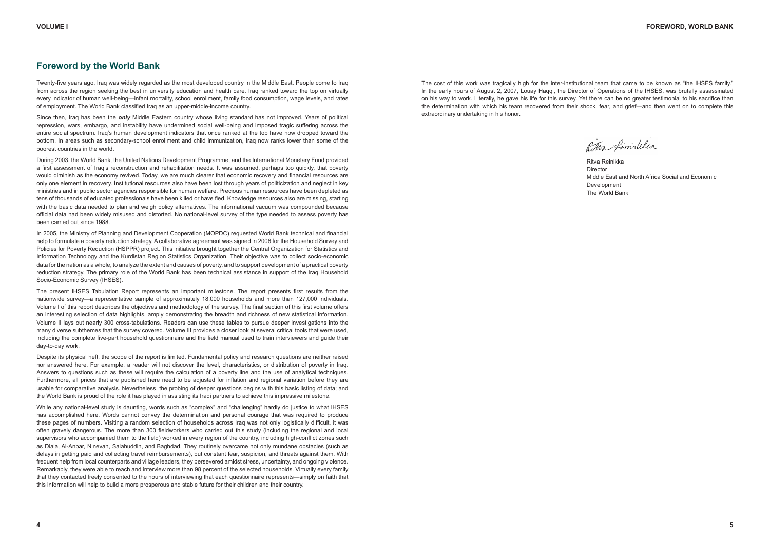# **Foreword by the World Bank**

Twenty-five years ago, Iraq was widely regarded as the most developed country in the Middle East. People come to Iraq from across the region seeking the best in university education and health care. Irag ranked toward the top on virtually every indicator of human well-being—infant mortality, school enrollment, family food consumption, wage levels, and rates of employment. The World Bank classified Iraq as an upper-middle-income country.

Since then, Iraq has been the *only* Middle Eastern country whose living standard has not improved. Years of political repression, wars, embargo, and instability have undermined social well-being and imposed tragic suffering across the entire social spectrum. Iraq's human development indicators that once ranked at the top have now dropped toward the bottom. In areas such as secondary-school enrollment and child immunization, Iraq now ranks lower than some of the poorest countries in the world.

During 2003, the World Bank, the United Nations Development Programme, and the International Monetary Fund provided a first assessment of Iraq's reconstruction and rehabilitation needs. It was assumed, perhaps too quickly, that poverty would diminish as the economy revived. Today, we are much clearer that economic recovery and financial resources are only one element in recovery. Institutional resources also have been lost through years of politicization and neglect in key ministries and in public sector agencies responsible for human welfare. Precious human resources have been depleted as tens of thousands of educated professionals have been killed or have fled. Knowledge resources also are missing, starting with the basic data needed to plan and weigh policy alternatives. The informational vacuum was compounded because official data had been widely misused and distorted. No national-level survey of the type needed to assess poverty has been carried out since 1988.

In 2005, the Ministry of Planning and Development Cooperation (MOPDC) requested World Bank technical and financial help to formulate a poverty reduction strategy. A collaborative agreement was signed in 2006 for the Household Survey and Policies for Poverty Reduction (HSPPR) project. This initiative brought together the Central Organization for Statistics and Information Technology and the Kurdistan Region Statistics Organization. Their objective was to collect socio-economic data for the nation as a whole, to analyze the extent and causes of poverty, and to support development of a practical poverty reduction strategy. The primary role of the World Bank has been technical assistance in support of the Iraq Household Socio-Economic Survey (IHSES).

The present IHSES Tabulation Report represents an important milestone. The report presents first results from the nationwide survey—a representative sample of approximately 18,000 households and more than 127,000 individuals. Volume I of this report describes the objectives and methodology of the survey. The final section of this first volume offers an interesting selection of data highlights, amply demonstrating the breadth and richness of new statistical information. Volume II lays out nearly 300 cross-tabulations. Readers can use these tables to pursue deeper investigations into the many diverse subthemes that the survey covered. Volume III provides a closer look at several critical tools that were used, including the complete five-part household questionnaire and the field manual used to train interviewers and guide their day-to-day work.

Despite its physical heft, the scope of the report is limited. Fundamental policy and research questions are neither raised nor answered here. For example, a reader will not discover the level, characteristics, or distribution of poverty in Iraq. Answers to questions such as these will require the calculation of a poverty line and the use of analytical techniques. Furthermore, all prices that are published here need to be adjusted for inflation and regional variation before they are usable for comparative analysis. Nevertheless, the probing of deeper questions begins with this basic listing of data; and the World Bank is proud of the role it has played in assisting its Iraqi partners to achieve this impressive milestone.

While any national-level study is daunting, words such as "complex" and "challenging" hardly do justice to what IHSES has accomplished here. Words cannot convey the determination and personal courage that was required to produce these pages of numbers. Visiting a random selection of households across Iraq was not only logistically difficult, it was often gravely dangerous. The more than 300 fieldworkers who carried out this study (including the regional and local supervisors who accompanied them to the field) worked in every region of the country, including high-conflict zones such as Diala, Al-Anbar, Ninevah, Salahuddin, and Baghdad. They routinely overcame not only mundane obstacles (such as delays in getting paid and collecting travel reimbursements), but constant fear, suspicion, and threats against them. With frequent help from local counterparts and village leaders, they persevered amidst stress, uncertainty, and ongoing violence. Remarkably, they were able to reach and interview more than 98 percent of the selected households. Virtually every family that they contacted freely consented to the hours of interviewing that each questionnaire represents—simply on faith that this information will help to build a more prosperous and stable future for their children and their country.

The cost of this work was tragically high for the inter-institutional team that came to be known as "the IHSES family." In the early hours of August 2, 2007, Louay Haqqi, the Director of Operations of the IHSES, was brutally assassinated on his way to work. Literally, he gave his life for this survey. Yet there can be no greater testimonial to his sacrifice than the determination with which his team recovered from their shock, fear, and grief—and then went on to complete this extraordinary undertaking in his honor.

Ritva Reinikka Director Middle East and North Africa Social and Economic Development The World Bank

Ritha fimililer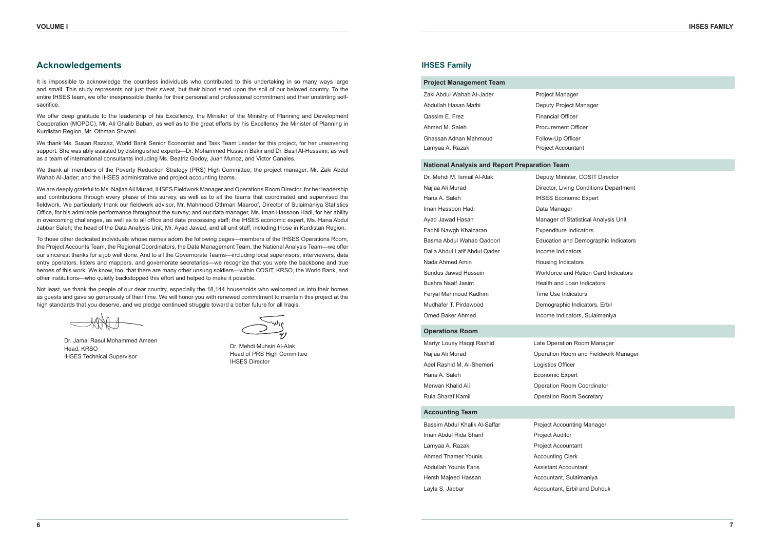# **Acknowledgements**

It is impossible to acknowledge the countless individuals who contributed to this undertaking in so many ways large and small. This study represents not just their sweat, but their blood shed upon the soil of our beloved country. To the entire IHSES team, we offer inexpressible thanks for their personal and professional commitment and their unstinting selfsacrifice.

We offer deep gratitude to the leadership of his Excellency, the Minister of the Ministry of Planning and Development Cooperation (MOPDC), Mr. Ali Ghalib Baban, as well as to the great efforts by his Excellency the Minister of Planning in Kurdistan Region, Mr. Othman Shwani.

We thank Ms. Susan Razzaz, World Bank Senior Economist and Task Team Leader for this project, for her unwavering support. She was ably assisted by distinguished experts—Dr. Mohammed Hussein Bakir and Dr. Basil Al-Hussaini; as well as a team of international consultants including Ms. Beatriz Godoy, Juan Munoz, and Victor Canales.

We thank all members of the Poverty Reduction Strategy (PRS) High Committee; the project manager, Mr. Zaki Abdul Wahab Al-Jader; and the IHSES administrative and project accounting teams.

We are deeply grateful to Ms. Najlaa Ali Murad, IHSES Fieldwork Manager and Operations Room Director, for her leadership and contributions through every phase of this survey, as well as to all the teams that coordinated and supervised the fieldwork. We particularly thank our fieldwork advisor, Mr. Mahmood Othman Maaroof, Director of Sulaimaniya Statistics Office, for his admirable performance throughout the survey; and our data manager, Ms. Iman Hassoon Hadi, for her ability in overcoming challenges, as well as to all office and data processing staff; the IHSES economic expert, Ms. Hana Abdul Jabbar Saleh; the head of the Data Analysis Unit, Mr. Ayad Jawad, and all unit staff, including those in Kurdistan Region.

To those other dedicated individuals whose names adorn the following pages—members of the IHSES Operations Room, the Project Accounts Team, the Regional Coordinators, the Data Management Team, the National Analysis Team—we offer our sincerest thanks for a job well done. And to all the Governorate Teams—including local supervisors, interviewers, data entry operators, listers and mappers, and governorate secretaries—we recognize that you were the backbone and true heroes of this work. We know, too, that there are many other unsung soldiers—within COSIT, KRSO, the World Bank, and other institutions—who quietly backstopped this effort and helped to make it possible.

Not least, we thank the people of our dear country, especially the 18,144 households who welcomed us into their homes as guests and gave so generously of their time. We will honor you with renewed commitment to maintain this project at the high standards that you deserve, and we pledge continued struggle toward a better future for all Iraqis.

Dr. Jamal Rasul Mohammed Ameen Head, KRSO IHSES Technical Supervisor

Dr. Mehdi Muhsin Al-Alak Head of PRS High Committee IHSES Director

### **IHSES Family**

#### **Project Management Team**

| Zaki Abdul Wahab Al-Jader | <b>Project Manager</b>     |
|---------------------------|----------------------------|
| Abdullah Hasan Mathi      | Deputy Project Manager     |
| Qassim E. Frez            | <b>Financial Officer</b>   |
| Ahmed M. Saleh            | <b>Procurement Officer</b> |
| Ghassan Adnan Mahmoud     | Follow-Up Officer          |
| Lamyaa A. Razak           | <b>Project Accountant</b>  |

#### **National Analysis and Report Preparation Team**

| Dr. Mehdi M. Ismail Al-Alak   | Deputy Minister, COSIT Director        |
|-------------------------------|----------------------------------------|
| Najlaa Ali Murad              | Director, Living Conditions Department |
| Hana A. Saleh                 | <b>IHSES Economic Expert</b>           |
| Iman Hassoon Hadi             | Data Manager                           |
| Ayad Jawad Hasan              | Manager of Statistical Analysis Unit   |
| Fadhil Nawgh Khaizaran        | <b>Expenditure Indicators</b>          |
| Basma Abdul Wahab Qadoori     | Education and Demographic Indicators   |
| Dalia Abdul Latif Abdul Qader | Income Indicators                      |
| Nada Ahmed Amin               | Housing Indicators                     |
| Sundus Jawad Hussein          | Workforce and Ration Card Indicators   |
| Bushra Nsaif Jasim            | Health and Loan Indicators             |
| Feryal Mahmoud Kadhim         | Time Use Indicators                    |
| Mudhafer T. Pirdawood         | Demographic Indicators, Erbil          |
| Omed Baker Ahmed              | Income Indicators. Sulaimaniva         |

#### **Operations Room**

| Martyr Louay Haqqi Rashid | Late Operation Room Manager          |
|---------------------------|--------------------------------------|
| Najlaa Ali Murad          | Operation Room and Fieldwork Manager |
| Adel Rashid M. Al-Shemeri | Logistics Officer                    |
| Hana A. Saleh             | Economic Expert                      |
| Merwan Khalid Ali         | Operation Room Coordinator           |
| Rula Sharaf Kamil         | <b>Operation Room Secretary</b>      |

#### **Accounting Team**

Iman Abdul Rida Sharif Project Auditor Lamyaa A. Razak Project Accountant Ahmed Thamer Younis **Accounting Clerk** Abdullah Younis Faris Assistant Accountant Hersh Majeed Hassan Accountant, Sulaimaniya Layla S. Jabbar **Accountant**, Erbil and Duhouk

Bassim Abdul Khalik Al-Saffar Project Accounting Manager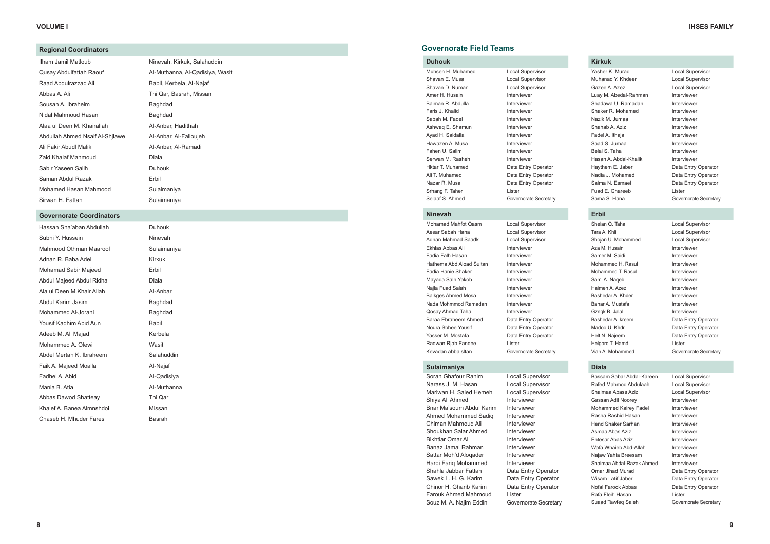#### **Regional Coordinators**

| Ilham Jamil Matloub             | Ninevah, Kirkuk, Salahuddin     |
|---------------------------------|---------------------------------|
| Qusay Abdulfattah Raouf         | Al-Muthanna, Al-Qadisiya, Wasit |
| Raad Abdulrazzaq Ali            | Babil, Kerbela, Al-Najaf        |
| Abbas A. Ali                    | Thi Qar, Basrah, Missan         |
| Sousan A. Ibraheim              | Baghdad                         |
| Nidal Mahmoud Hasan             | Baghdad                         |
| Alaa ul Deen M. Khairallah      | Al-Anbar, Hadithah              |
| Abdullah Ahmed Nsaif Al-Shjlawe | Al-Anbar, Al-Falloujeh          |
| Ali Fakir Abudl Malik           | Al-Anbar, Al-Ramadi             |
| Zaid Khalaf Mahmoud             | Diala                           |
| Sabir Yaseen Salih              | <b>Duhouk</b>                   |
| Saman Abdul Razak               | Erbil                           |
| Mohamed Hasan Mahmood           | Sulaimaniya                     |
| Sirwan H. Fattah                | Sulaimaniva                     |

| Ilham Jamil Matloub             | Ninevah, Kirkuk, Salahuddin |
|---------------------------------|-----------------------------|
| Qusay Abdulfattah Raouf         | Al-Muthanna, Al-Qadisiya, W |
| Raad Abdulrazzag Ali            | Babil, Kerbela, Al-Najaf    |
| Abbas A. Ali                    | Thi Qar, Basrah, Missan     |
| Sousan A. Ibraheim              | Baghdad                     |
| Nidal Mahmoud Hasan             | Baghdad                     |
| Alaa ul Deen M. Khairallah      | Al-Anbar, Hadithah          |
| Abdullah Ahmed Nsaif Al-Shilawe | Al-Anbar, Al-Falloujeh      |
| Ali Fakir Abudl Malik           | Al-Anbar, Al-Ramadi         |
| Zaid Khalaf Mahmoud             | Diala                       |
| Sabir Yaseen Salih              | Duhouk                      |
| Saman Abdul Razak               | Erbil                       |
| Mohamed Hasan Mahmood           | Sulaimaniya                 |
| Sirwan H. Fattah                | Sulaimaniya                 |

#### **Go vernorate Coordinators**

| Hassan Sha'aban Abdullah  | Duhouk      |
|---------------------------|-------------|
| Subhi Y. Hussein          | Ninevah     |
| Mahmood Othman Maaroof    | Sulaimaniya |
| Adnan R. Baba Adel        | Kirkuk      |
| Mohamad Sabir Majeed      | Erbil       |
| Abdul Majeed Abdul Ridha  | Diala       |
| Ala ul Deen M.Khair Allah | Al-Anbar    |
| Abdul Karim Jasim         | Baghdad     |
| Mohammed Al-Jorani        | Baghdad     |
| Yousif Kadhim Abid Aun    | Babil       |
| Adeeb M. Ali Majad        | Kerbela     |
| Mohammed A. Olewi         | Wasit       |
| Abdel Mertah K. Ibraheem  | Salahuddin  |
| Faik A. Majeed Moalla     | Al-Najaf    |
| Fadhel A. Abid            | Al-Qadisiya |
| Mania B. Atia             | Al-Muthanna |
| Abbas Dawod Shatteay      | Thi Qar     |
| Khalef A. Banea Almnshdoi | Missan      |
| Chaseb H. Mhuder Fares    | Basrah      |

Mohamad Mahfot Qasm Local Supervisor Aesar Sabah Hana Local Supervisor Adnan Mahmad Saadk Local Supervisor Ekhlas Abbas Ali **Interviewer** Fadia Falh Hasan **Interviewer** Hathema Abd Aload Sultan Interviewer Fadia Hanie Shaker **Interviewer** Mayada Salh Yakob Interviewer Najla Fuad Salah **Interviewer** Balkges Ahmed Mosa **Interviewer** Nada Mohmmod Ramadan Interviewer Qosay Ahmad Taha Interviewer Baraa Ebraheem Ahmed Data Entry Operator Noura Sbhee Yousif Data Entry Operator Yasser M. Mostafa **Data Entry Operator** Radwan Rjab Fandee Lister Kevadan abba sltan Governorate Secretary

| Duhouk      |
|-------------|
| Ninevah     |
| Sulaimaniya |
| Kirkuk      |
| Erbil       |
| Diala       |
| Al-Anbar    |
| Baghdad     |
| Baghdad     |
| Babil       |
| Kerbela     |
| Wasit       |
| Salahuddin  |
| Al-Najaf    |
| Al-Qadisiya |
| Al-Muthanna |
| Thi Qar     |
| Missan      |
| Basrah      |

Soran Ghafour Rahim Local Supervisor Narass J. M. Hasan Local Supervisor Mariwan H. Saied Hemeh Local Supervisor Shiya Ali Ahmed Interviewer Bnar Ma'soum Abdul Karim Interviewer Ahmed Mohammed Sadig Interviewer Chiman Mahmoud Ali Interviewer Shoukhan Salar Ahmed Interviewer Bikhtiar Omar Ali **Interviewer** Banaz Jamal Rahman Interviewer Sattar Moh'd Alogader Interviewer Hardi Fariq Mohammed Interviewer Shahla Jabbar Fattah Data Entry Operator Sawek L. H. G. Karim Data Entry Operator Chinor H. Gharib Karim Data Entry Operator Farouk Ahmed Mahmoud Lister Souz M. A. Najim Eddin Governorate Secretary

### **Duhouk**

| Muhsen H. Muhamed | Local Supervisor        |
|-------------------|-------------------------|
| Shavan E. Musa    | <b>Local Supervisor</b> |
| Shavan D. Numan   | Local Supervisor        |
| Amer H. Husain    | Interviewer             |
| Baiman R. Abdulla | Interviewer             |
| Faris J. Khalid   | Interviewer             |
| Sabah M. Fadel    | Interviewer             |
| Ashwag E. Shamun  | Interviewer             |
| Ayad H. Saidalla  | Interviewer             |
| Hawazen A. Musa   | Interviewer             |
| Fahen U. Salim    | Interviewer             |
| Serwan M. Rasheh  | Interviewer             |
| Hktar T. Muhamed  | Data Entry Operator     |
| Ali T. Muhamed    | Data Entry Operator     |
| Nazar R. Musa     | Data Entry Operator     |
| Srhang F. Taher   | Lister                  |
| Selaaf S. Ahmed   | Governorate Secretary   |

Yasher K. Murad Local Supervisor Muhanad Y. Khdeer Local Supervisor Gazee A. Azez **Local Supervisor** Luay M. Abedal-Rahman Interviewer Shadawa U. Ramadan Interviewer Shaker R. Mohamed **Interviewer** Nazik M. Jumaa **Interviewer** Shahab A. Aziz **Interviewer** Fadel A. Ithaja **Interviewer** Saad S. Jumaa Interviewer Belal S. Taha **Interviewer** Hasan A. Abdal-Khalik Interviewer Haythem E. Jaber Data Entry Operator Nadia J. Mohamed Data Entry Operator Salma N. Esmael Data Entry Operator Fuad F. Ghareeb Lister Sama S. Hana Governorate Secretary

#### **Nine vah**

Shelan Q. Taha Local Supervisor Tara A. Khlil **Local Supervisor** Shojan U. Mohammed Local Supervisor Aza M. Husain **Interviewer** Samer M. Saidi **Interviewer** Mohammed H. Rasul **Interviewer** Mohammed T. Rasul **Interviewer** Sami A. Naqeb Interviewer Haimen A. Azez **Interviewer** Bashedar A. Khder **Interviewer** Banar A. Mustafa **Interviewer** Gzngk B. Jalal Interviewer Bashedar A. kreem Data Entry Operator Madoo U. Khdr Data Entry Operator Helt N. Najeem Data Entry Operator Helgord T. Hamd Lister Vian A. Mohammed Governorate Secretary

Bassam Sabar Abdal-Kareen Local Supervisor Rafed Mahmod Abdulaah Local Supervisor Shaimaa Abass Aziz Local Supervisor Gassan Adil Noorey **Interviewer** Mohammed Kairey Fadel Interviewer Rasha Rashid Hasan **Interviewer** Hend Shaker Sarhan Interviewer Asmaa Abas Aziz **Interviewer** Entesar Abas Aziz **Interviewer** Wafa Whaieb Abd-Allah Interviewer Najaw Yahia Breesam **Interviewer** Shaimaa Abdal-Razak Ahmed Interviewer Omar Jihad Murad **Data Entry Operator** Wisam Latif Jaber Data Entry Operator Nofal Farook Abbas Data Entry Operator Rafa Fleih Hasan Lister Suaad Tawfeq Saleh Governorate Secretary

### **Sulaimaniya**

### **Kirkuk**

#### **Erbil**

#### **Diala**

### **Go vernorate Field Teams**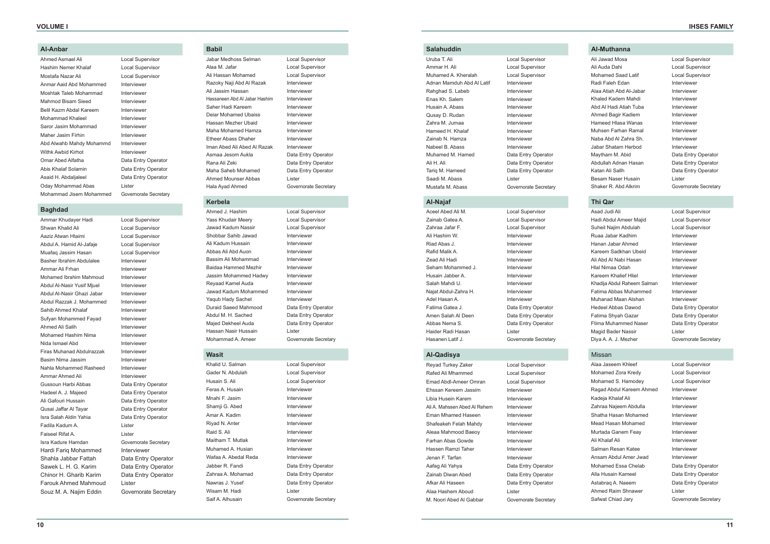#### **Al-Anbar**

| Ahmed Asmael Ali         | Local Supervisor      |
|--------------------------|-----------------------|
| Hashim Nemer Khalaf      | Local Supervisor      |
| Mostafa Nazar Ali        | Local Supervisor      |
| Anmar Aaid Abd Mohammed  | Interviewer           |
| Moshtak Taleb Mohammad   | Interviewer           |
| Mahmod Bisam Sieed       | Interviewer           |
| Belil Kazm Abdal Kareem  | Interviewer           |
| Mohammad Khaleel         | Interviewer           |
| Saror Jasim Mohammad     | Interviewer           |
| Maher Jasim Firhin       | Interviewer           |
| Abd Alwahb Mahdy Mohammd | Interviewer           |
| Withk Awbid Kirhot       | Interviewer           |
| Omar Abed Alfatha        | Data Entry Operator   |
| Abis Khalaf Solamin      | Data Entry Operator   |
| Asaid H. Abdaljaleel     | Data Entry Operator   |
| Oday Mohammad Abas       | Lister                |
| Mohammad Jisem Mohammed  | Governorate Secretary |

#### **Baghdad**

Ammar Khudayer Hadi **Local Supervisor** Shwan Khalid Ali **Local Supervisor** Aaziz Atwan Htaimi Local Supervisor Abdul A. Hamid Al-Jafaje Local Supervisor Muafaq Jassim Hasan **Local Supervisor** Basher Ibrahim Abdulalee Interviewer Ammar Ali Frhan Interviewer Mohamed Ibrahim Mahmoud Interviewer Abdul Al-Nasir Yusif Mjuel Interviewer Abdul Al-Nasir Ghazi Jabar Interviewer Abdul Razzak J. Mohammed Interviewer Sahib Ahmed Khalaf **Interviewer** Sufyan Mohammed Fayad Interviewer Ahmed Ali Salih Interviewer Mohamed Hashim Nima<br>Interviewer Nida Ismael Abd **Interviewer** Firas Muhanad Abdulrazzak Interviewer Basim Nima Jassim **Interviewer** Nahla Mohammed Rasheed Interviewer Ammar Ahmed Ali **Interviewer** Gussoun Harbi Abbas Data Entry Operator Hadeel A. J. Majeed Data Entry Operator Ali Gafouri Hussain Data Entry Operator Qusai Jaffar Al Tayar **Data Entry Operator** Isra Salah Aldin Yahia **Data Entry Operator** Fadila Kadum A. Lister Faiseel Rifat A. Lister Isra Kadure Hamdan Governorate Secretary Hardi Farig Mohammed Interviewer Shahla Jabbar Fattah Data Entry Operator Sawek L. H. G. Karim Data Entry Operator Chinor H. Gharib Karim Data Entry Operator Farouk Ahmed Mahmoud Lister Souz M. A. Najim Eddin Governorate Secretary

Ahmed J. Hashim Local Supervisor Yass Khudair Meery **Local Supervisor** Jawad Kadum Nassir Local Supervisor Shobbar Sahib Jawad **Interviewer** Ali Kadum Hussain **Interviewer** Abbas Ali Abd Auon Interviewer Bassim Ali Mohammad Interviewer Baidaa Hammed Mezhir **Interviewer** Jassim Mohammed Hadwy Interviewer Reyaad Kamel Auda<br>
Interviewer Jawad Kadum Mohammed Interviewer Yaqub Hady Sachet Interviewer Duraid Saeed Mahmood Data Entry Operator Abdul M. H. Sached Data Entry Operator Majed Dekheel Auda<br>
Data Entry Operator Hassan Nasir Hussain Lister Mohammad A. Ameer Governorate Secretary

Gader N. Abdulah Local Supervisor Husain S. Ali Local Supervisor Feras A. Husain **Interviewer** Mnahi F. Jasim **Interviewer** Shamji G. Abed Interviewer Amar A. Kadim **Interviewer** Rivad N. Anter **Interviewer** Raid S. Ali **Interviewer** Maitham T. Mutlak **Interviewer** Muhamed A. Husian **Interviewer** Wafaa A. Abedal Reda **Interviewer** Jabber R. Fandi Data Entry Operator Zahraa A. Mohamad Data Entry Operator Nawras J. Yusef **Data Entry Operator** Wisam M. Hadi **Lister** Saif A. Alhusain Governorate Secretary

Uruba T. Ali Local Supervisor Ammar H. Ali Local Supervisor Muhamed A. Kheralah Local Supervisor Adnan Mamduh Abd Al Latif Interviewer Rahghad S. Labeb Interviewer Enas Kh. Salem **Interviewer** Husain A. Abass **Interviewer** Qusay D. Rudan Interviewer Zahra M. Jumaa Interviewer Hameed H. Khalaf **Interviewer** Zainab N. Hamza **Interviewer** Nabeel B. Abass **Interviewer** Muhamed M. Hamed Data Entry Operator Ali H. Ali Data Entry Operator Tarig M. Hameed Data Entry Operator Saadi M. Abass Lister Mustafa M. Abass Governorate Secretary

#### **Babil**

Jabar Medhoss Selman Local Supervisor Alaa M. Jafar **Local Supervisor** Ali Hassan Mohamed Local Supervisor Razoky Naji Abd Al Razak Interviewer Ali Jassim Hassan **Interviewer** Hassaneen Abd Al Jabar Hashim Interviewer Saher Hadi Kareem **Interviewer** Deiar Mohamed Ubaiss **Interviewer** Hassan Mezher Ubaid **Interviewer** Maha Mohamed Hamza **Interviewer** Etheer Abass Dhaher Interviewer Iman Abed Ali Abed Al Razak Interviewer Asmaa Jesom Aukla **Data Entry Operator** Rana Ali Zeki **Data Entry Operator** Maha Saheb Mohamed Data Entry Operator Ahmed Mounser Abbas Lister Hala Ayad Ahmed Governorate Secretary

# **Kerbela**

- Asad Judi Ali Local Supervisor Hadi Abdul Ameer Majid Local Supervisor Suheil Najim Abdulah Local Supervisor Ruaa Jabar Kadhim **Interviewer** Hanan Jabar Ahmed Interviewer Kareem Sadkhan Ubeid Interviewer Ali Abd Al Nabi Hasan Interviewer Hlal Nimaa Odah **Interviewer** Kareem Khalief Hliel **Interviewer** Khadija Abdul Raheem Salman Interviewer Fatima Abbas Muhammed Interviewer Muhanad Maan Atshan **Interviewer** Hedeel Abbas Dawod Data Entry Operator Fatima Shyah Gazar **Data Entry Operator** Ftima Muhammed Naser Data Entry Operator Magid Bader Nassir **Lister** Diya A. A. J. Mezher Governorate Secretary
- -

#### **Wasit**

#### **Salahuddin**

#### **Al-Najaf**

Aceel Abed Ali M. Local Supervisor Zainab Gatea A. Local Supervisor Zahraa Jafar F. Local Supervisor Ali Hashim W. Interviewer Riad Abas J. **Interviewer** Rafid Malik A. **Interviewer** Zead Ali Hadi **Interviewer** Seham Mohammed J. **Interviewer** Husain Jabber A. Interviewer Salah Mahdi U. **Interviewer** Najat Abdul-Zahra H. Interviewer Adel Hasan A. **Interviewer** Fatima Gatea J. Data Entry Operator Amen Salah Al Deen Data Entry Operator Abbas Nema S. Data Entry Operator Haider Radi Hasan Lister Hasanen Latif J. Governorate Secretary

#### **Al-Qadisya**

Reyad Turkey Zaker Local Supervisor Rafed Ali Mhammed Local Supervisor Emad Abdl-Ameer Omran Local Supervisor Ehssan Kereem Jassim Interviewer Libia Husein Karem **Interviewer** Ali A. Mahssen Abed Al Rehem Interviewer Eman Mhamed Haseen **Interviewer** Shafeakeh Felah Mahdy Interviewer Aleaa Mahmood Baeoy **Interviewer** Farhan Abas Gowde Interviewer Hassen Ramzi Taher **Interviewer** Jenan F. Tarfan **Interviewer** Aafag Ali Yahya **Data Entry Operator** Zainab Diwan Abed Data Entry Operator Afkar Ali Haseen Data Entry Operator Alaa Hashem Aboud Lister M. Noori Abed Al Gabbar Governorate Secretary

Khalid U. Salman Local Supervisor

### **Al-Muthanna**

Ali Jawad Mosa<br>
Local Supervisor Ali Auda Dahi Local Supervisor Mohamed Saad Latif **Local Supervisor** Radi Faleh Edan **Interviewer** Alaa Atiah Abd Al-Jabar Interviewer Khaled Kadem Mahdi **Interviewer** Abd Al Hadi Atiah Tuba Interviewer Ahmed Bagir Kadiem **Interviewer** Hameed Hlasa Wanas **Interviewer** Muhsen Farhan Ramal **Interviewer** Naba Abd Al Zahra Sh. Interviewer Jabar Shatam Herbod Interviewer Maytham M. Abid Data Entry Operator Abdullah Adnan Hasan Data Entry Operator Katan Ali Sallh Data Entry Operator Besam Naser Husain Lister Shaker R. Abd Alkrim Governorate Secretary

#### **Thi Qar**

#### Missan

Alaa Jaseem Khleef Local Supervisor Mohamed Zora Kredy **Local Supervisor** Mohamed S. Hamodey Local Supervisor Ragad Abdul Kareem Ahmed Interviewer Kadeja Khalaf Ali **Interviewer** Zahraa Najeem Abdulla **Interviewer** Shatha Hasan Mohamed Interviewer Mead Hasan Mohamed **Interviewer** Murtada Ganem Feay **Interviewer** Ali Khalaf Ali **Interviewer** Salman Resan Katee **Interviewer** Ansam Abdul Amer Jwad Interviewer Mohamed Essa Chelab Data Entry Operator Alla Husain Kameel Data Entry Operator Astabrag A. Naeem Data Entry Operator Ahmed Raim Shnawer Lister Safwat Chiad Jary Governorate Secretary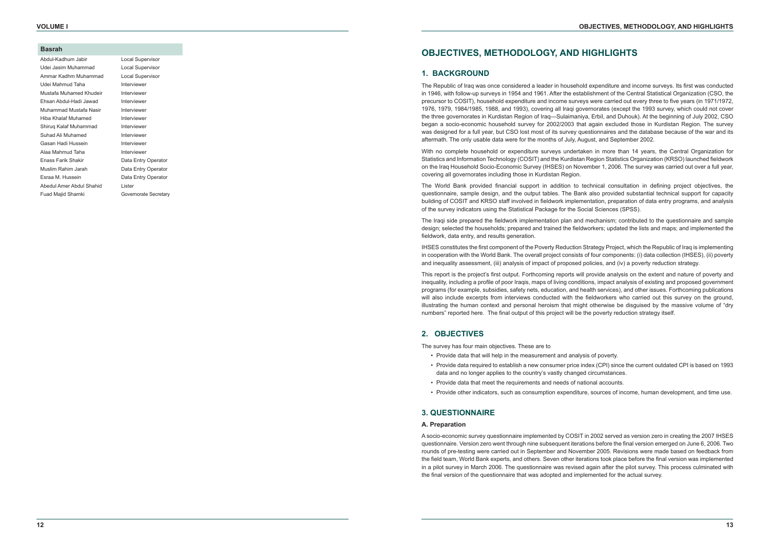#### **Basrah**

| Abdul-Kadhum Jabir       |
|--------------------------|
| Udei Jasim Muhammad      |
| Ammar Kadhm Muhammad     |
| Udei Mahmud Taha         |
| Mustafa Muhamed Khudeir  |
| Ehsan Abdul-Hadi Jawad   |
| Muhammad Mustafa Nasir   |
| Hiba Khalaf Muhamed      |
| Shiruq Kalaf Muhammad    |
| Suhad Ali Muhamed        |
| Gasan Hadi Hussein       |
| Alaa Mahmud Taha         |
| Enass Farik Shakir       |
| Muslim Rahim Jarah       |
| Esraa M. Hussein         |
| Abedul Amer Abdul Shahid |
| Fuad Maiid Shamki        |

Local Supervisor Local Supervisor **Local Supervisor Interviewer Interviewer Interviewer Interviewer Interviewer Interviewer** Interviewer Interviewer **Interviewer** Data Entry Operator Data Entry Operator Data Entry Operator **Lister** Governorate Secretary

# **OBJECTIVES, METHODOLOGY, AND HIGHLIGHTS**

### **1. BACKGROUND**

The Republic of Iraq was once considered a leader in household expenditure and income surveys. Its first was conducted in 1946, with follow-up surveys in 1954 and 1961. After the establishment of the Central Statistical Organization (CSO, the precursor to COSIT), household expenditure and income surveys were carried out every three to five years (in 1971/1972, 1976, 1979, 1984/1985, 1988, and 1993), covering all Iraqi governorates (except the 1993 survey, which could not cover the three governorates in Kurdistan Region of Iraq—Sulaimaniya, Erbil, and Duhouk). At the beginning of July 2002, CSO began a socio-economic household survey for 2002/2003 that again excluded those in Kurdistan Region. The survey was designed for a full year, but CSO lost most of its survey questionnaires and the database because of the war and its aftermath. The only usable data were for the months of July, August, and September 2002.

IHSES constitutes the first component of the Poverty Reduction Strategy Project, which the Republic of Iraq is implementing in cooperation with the World Bank. The overall project consists of four components: (i) data collection (IHSES), (ii) poverty and inequality assessment, (iii) analysis of impact of proposed policies, and (iv) a poverty reduction strategy.

With no complete household or expenditure surveys undertaken in more than 14 years, the Central Organization for Statistics and Information Technology (COSIT) and the Kurdistan Region Statistics Organization (KRSO) launched fieldwork on the Iraq Household Socio-Economic Survey (IHSES) on November 1, 2006. The survey was carried out over a full year, covering all governorates including those in Kurdistan Region.

The World Bank provided financial support in addition to technical consultation in defining project objectives, the questionnaire, sample design, and the output tables. The Bank also provided substantial technical support for capacity building of COSIT and KRSO staff involved in fieldwork implementation, preparation of data entry programs, and analysis of the survey indicators using the Statistical Package for the Social Sciences (SPSS).

The Iraqi side prepared the fieldwork implementation plan and mechanism; contributed to the questionnaire and sample design; selected the households; prepared and trained the fieldworkers; updated the lists and maps; and implemented the fieldwork, data entry, and results generation.

This report is the project's first output. Forthcoming reports will provide analysis on the extent and nature of poverty and inequality, including a profile of poor Iraqis, maps of living conditions, impact analysis of existing and proposed government programs (for example, subsidies, safety nets, education, and health services), and other issues. Forthcoming publications will also include excerpts from interviews conducted with the fieldworkers who carried out this survey on the ground, illustrating the human context and personal heroism that might otherwise be disguised by the massive volume of "dry numbers" reported here. The final output of this project will be the poverty reduction strategy itself.

# **2. OBJECTIVES**

The survey has four main objectives. These are to

• Provide data required to establish a new consumer price index (CPI) since the current outdated CPI is based on 1993

- Provide data that will help in the measurement and analysis of poverty.
- data and no longer applies to the country's vastly changed circumstances.
- Provide data that meet the requirements and needs of national accounts.
- Provide other indicators, such as consumption expenditure, sources of income, human development, and time use.

# **3. QUESTIONNAIRE**

#### **A. Preparation**

A socio-economic survey questionnaire implemented by COSIT in 2002 served as version zero in creating the 2007 IHSES questionnaire. Version zero went through nine subsequent iterations before the final version emerged on June 6, 2006. Two rounds of pre-testing were carried out in September and November 2005. Revisions were made based on feedback from the field team, World Bank experts, and others. Seven other iterations took place before the final version was implemented in a pilot survey in March 2006. The questionnaire was revised again after the pilot survey. This process culminated with the final version of the questionnaire that was adopted and implemented for the actual survey.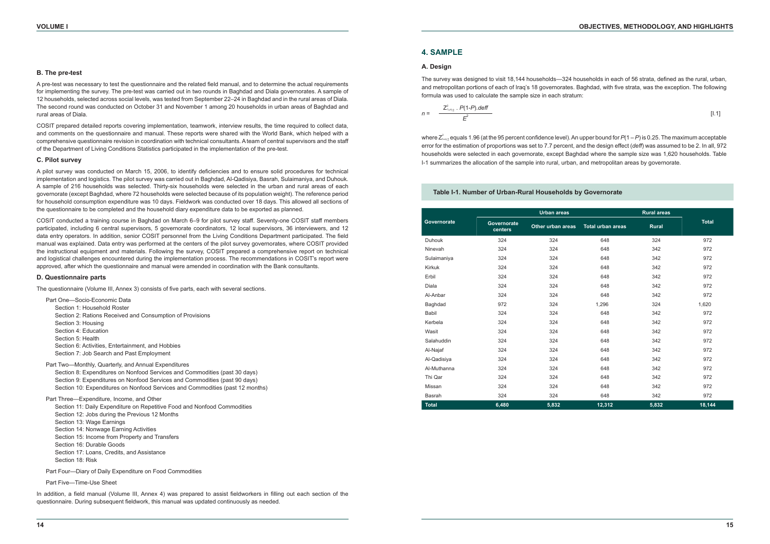#### **B. The pre-test**

A pre-test was necessary to test the questionnaire and the related field manual, and to determine the actual requirements for implementing the survey. The pre-test was carried out in two rounds in Baghdad and Diala governorates. A sample of 12 households, selected across social levels, was tested from September 22–24 in Baghdad and in the rural areas of Diala. The second round was conducted on October 31 and November 1 among 20 households in urban areas of Baghdad and rural areas of Diala.

COSIT prepared detailed reports covering implementation, teamwork, interview results, the time required to collect data, and comments on the questionnaire and manual. These reports were shared with the World Bank, which helped with a comprehensive questionnaire revision in coordination with technical consultants. A team of central supervisors and the staff of the Department of Living Conditions Statistics participated in the implementation of the pre-test.

#### **C. Pilot survey**

A pilot survey was conducted on March 15, 2006, to identify deficiencies and to ensure solid procedures for technical implementation and logistics. The pilot survey was carried out in Baghdad, Al-Qadisiya, Basrah, Sulaimaniya, and Duhouk. A sample of 216 households was selected. Thirty-six households were selected in the urban and rural areas of each governorate (except Baghdad, where 72 households were selected because of its population weight). The reference period for household consumption expenditure was 10 days. Fieldwork was conducted over 18 days. This allowed all sections of the questionnaire to be completed and the household diary expenditure data to be exported as planned.

In addition, a field manual (Volume III, Annex 4) was prepared to assist fieldworkers in filling out each section of the questionnaire. During subsequent fieldwork, this manual was updated continuously as needed.

COSIT conducted a training course in Baghdad on March 6–9 for pilot survey staff. Seventy-one COSIT staff members participated, including 6 central supervisors, 5 governorate coordinators, 12 local supervisors, 36 interviewers, and 12 data entry operators. In addition, senior COSIT personnel from the Living Conditions Department participated. The field manual was explained. Data entry was performed at the centers of the pilot survey governorates, where COSIT provided the instructional equipment and materials. Following the survey, COSIT prepared a comprehensive report on technical and logistical challenges encountered during the implementation process. The recommendations in COSIT's report were approved, after which the questionnaire and manual were amended in coordination with the Bank consultants.

#### **D. Questionnaire parts**

The questionnaire (Volume III, Annex 3) consists of five parts, each with several sections.

where  $Z^2_{1\text{-}a_{/2}}$  equals 1.96 (at the 95 percent confidence level). An upper bound for  $P(1-P)$  is 0.25. The maximum acceptable error for the estimation of proportions was set to 7.7 percent, and the design effect (*deff*) was assumed to be 2. In all, 972 households were selected in each governorate, except Baghdad where the sample size was 1,620 households. Table I-1 summarizes the allocation of the sample into rural, urban, and metropolitan areas by governorate.

| Part One—Socio-Economic Data                              |
|-----------------------------------------------------------|
| Section 1: Household Roster                               |
| Section 2: Rations Received and Consumption of Provisions |
| Section 3: Housing                                        |
| Section 4: Education                                      |
| Section 5: Health                                         |
| Section 6: Activities, Entertainment, and Hobbies         |
| Section 7: Job Search and Past Employment                 |
| Part Two—Monthly, Quarterly, and Annual Expenditures      |

|  | Section 8: Expenditures on Nonfood Services and Commodities (past 30 days)    |  |
|--|-------------------------------------------------------------------------------|--|
|  | Section 9: Expenditures on Nonfood Services and Commodities (past 90 days)    |  |
|  | Section 10: Expenditures on Nonfood Services and Commodities (past 12 months) |  |

Part Three—Expenditure, Income, and Other

| Section 11: Daily Expenditure on Repetitive Food and Nonfood Commodities |
|--------------------------------------------------------------------------|
| Section 12: Jobs during the Previous 12 Months                           |
| Section 13: Wage Earnings                                                |
| Section 14: Nonwage Earning Activities                                   |
| Section 15: Income from Property and Transfers                           |
| Section 16: Durable Goods                                                |
| Section 17: Loans, Credits, and Assistance                               |
| Section 18: Risk                                                         |
|                                                                          |

Part Four—Diary of Daily Expenditure on Food Commodities

Part Five—Time-Use Sheet

#### **Table I-1. Number of Urban-Rural Households by Governorate**

|              |                               | <b>Urban</b> areas |                          |              |              |
|--------------|-------------------------------|--------------------|--------------------------|--------------|--------------|
| Governorate  | <b>Governorate</b><br>centers | Other urban areas  | <b>Total urban areas</b> | <b>Rural</b> | <b>Total</b> |
| Duhouk       | 324                           | 324                | 648                      | 324          | 972          |
| Ninevah      | 324                           | 324                | 648                      | 342          | 972          |
| Sulaimaniya  | 324                           | 324                | 648                      | 342          | 972          |
| Kirkuk       | 324                           | 324                | 648                      | 342          | 972          |
| Erbil        | 324                           | 324                | 648                      | 342          | 972          |
| Diala        | 324                           | 324                | 648                      | 342          | 972          |
| Al-Anbar     | 324                           | 324                | 648                      | 342          | 972          |
| Baghdad      | 972                           | 324                | 1,296                    | 324          | 1,620        |
| Babil        | 324                           | 324                | 648                      | 342          | 972          |
| Kerbela      | 324                           | 324                | 648                      | 342          | 972          |
| Wasit        | 324                           | 324                | 648                      | 342          | 972          |
| Salahuddin   | 324                           | 324                | 648                      | 342          | 972          |
| Al-Najaf     | 324                           | 324                | 648                      | 342          | 972          |
| Al-Qadisiya  | 324                           | 324                | 648                      | 342          | 972          |
| Al-Muthanna  | 324                           | 324                | 648                      | 342          | 972          |
| Thi Qar      | 324                           | 324                | 648                      | 342          | 972          |
| Missan       | 324                           | 324                | 648                      | 342          | 972          |
| Basrah       | 324                           | 324                | 648                      | 342          | 972          |
| <b>Total</b> | 6,480                         | 5,832              | 12,312                   | 5,832        | 18,144       |

### **4. SAMPLE**

#### **A. Design**

The survey was designed to visit 18,144 households—324 households in each of 56 strata, defined as the rural, urban, and metropolitan portions of each of Iraq's 18 governorates. Baghdad, with five strata, was the exception. The following formula was used to calculate the sample size in each stratum:

$$
n = \frac{Z_{1-a/2}^2 \cdot P(1-P). \text{deff}}{E^2} \tag{1.1}
$$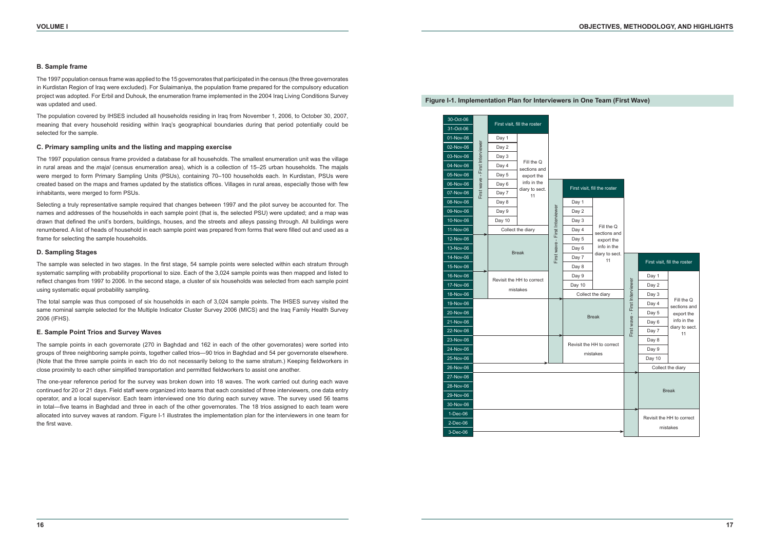#### **B. Sample frame**

The 1997 population census frame was applied to the 15 governorates that participated in the census (the three governorates in Kurdistan Region of Iraq were excluded). For Sulaimaniya, the population frame prepared for the compulsory education project was adopted. For Erbil and Duhouk, the enumeration frame implemented in the 2004 Iraq Living Conditions Survey was updated and used.

The population covered by IHSES included all households residing in Iraq from November 1, 2006, to October 30, 2007, meaning that every household residing within Iraq's geographical boundaries during that period potentially could be selected for the sample.

#### **C. Primary sampling units and the listing and mapping exercise**

The 1997 population census frame provided a database for all households. The smallest enumeration unit was the village in rural areas and the *majal* (census enumeration area), which is a collection of 15–25 urban households. The majals were merged to form Primary Sampling Units (PSUs), containing 70–100 households each. In Kurdistan, PSUs were created based on the maps and frames updated by the statistics offices. Villages in rural areas, especially those with few inhabitants, were merged to form PSUs.

Selecting a truly representative sample required that changes between 1997 and the pilot survey be accounted for. The names and addresses of the households in each sample point (that is, the selected PSU) were updated; and a map was drawn that defined the unit's borders, buildings, houses, and the streets and alleys passing through. All buildings were renumbered. A list of heads of household in each sample point was prepared from forms that were filled out and used as a frame for selecting the sample households.

#### **D. Sampling Stages**

The sample was selected in two stages. In the first stage, 54 sample points were selected within each stratum through systematic sampling with probability proportional to size. Each of the 3,024 sample points was then mapped and listed to reflect changes from 1997 to 2006. In the second stage, a cluster of six households was selected from each sample point using systematic equal probability sampling.

The total sample was thus composed of six households in each of 3,024 sample points. The IHSES survey visited the same nominal sample selected for the Multiple Indicator Cluster Survey 2006 (MICS) and the Iraq Family Health Survey 2006 (IFHS).

#### **E. Sample Point Trios and Survey Waves**

The sample points in each governorate (270 in Baghdad and 162 in each of the other governorates) were sorted into groups of three neighboring sample points, together called trios—90 trios in Baghdad and 54 per governorate elsewhere. (Note that the three sample points in each trio do not necessarily belong to the same stratum.) Keeping fieldworkers in close proximity to each other simplified transportation and permitted fieldworkers to assist one another.

The one-year reference period for the survey was broken down into 18 waves. The work carried out during each wave continued for 20 or 21 days. Field staff were organized into teams that each consisted of three interviewers, one data entry operator, and a local supervisor. Each team interviewed one trio during each survey wave. The survey used 56 teams in total—five teams in Baghdad and three in each of the other governorates. The 18 trios assigned to each team were allocated into survey waves at random. Figure I-1 illustrates the implementation plan for the interviewers in one team for the first wave.



**Figure I-1. Implementation Plan for Interviewers in One Team (First Wave)**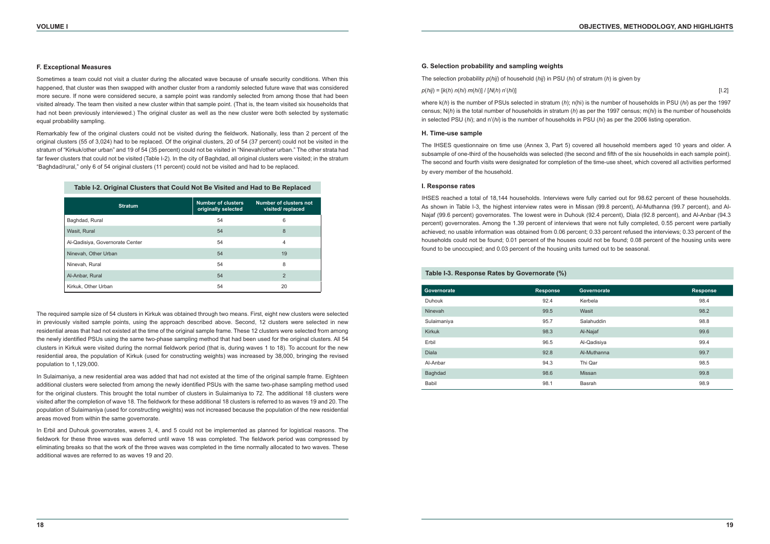#### **F. Exceptional Measures**

Sometimes a team could not visit a cluster during the allocated wave because of unsafe security conditions. When this happened, that cluster was then swapped with another cluster from a randomly selected future wave that was considered more secure. If none were considered secure, a sample point was randomly selected from among those that had been visited already. The team then visited a new cluster within that sample point. (That is, the team visited six households that had not been previously interviewed.) The original cluster as well as the new cluster were both selected by systematic equal probability sampling.

Remarkably few of the original clusters could not be visited during the fieldwork. Nationally, less than 2 percent of the original clusters (55 of 3,024) had to be replaced. Of the original clusters, 20 of 54 (37 percent) could not be visited in the stratum of "Kirkuk/other urban" and 19 of 54 (35 percent) could not be visited in "Ninevah/other urban." The other strata had far fewer clusters that could not be visited (Table I-2). In the city of Baghdad, all original clusters were visited; in the stratum "Baghdad/rural," only 6 of 54 original clusters (11 percent) could not be visited and had to be replaced.

The required sample size of 54 clusters in Kirkuk was obtained through two means. First, eight new clusters were selected in previously visited sample points, using the approach described above. Second, 12 clusters were selected in new residential areas that had not existed at the time of the original sample frame. These 12 clusters were selected from among the newly identified PSUs using the same two-phase sampling method that had been used for the original clusters. All 54 clusters in Kirkuk were visited during the normal fieldwork period (that is, during waves 1 to 18). To account for the new residential area, the population of Kirkuk (used for constructing weights) was increased by 38,000, bringing the revised population to 1,129,000.

In Sulaimaniya, a new residential area was added that had not existed at the time of the original sample frame. Eighteen additional clusters were selected from among the newly identified PSUs with the same two-phase sampling method used for the original clusters. This brought the total number of clusters in Sulaimaniya to 72. The additional 18 clusters were visited after the completion of wave 18. The fieldwork for these additional 18 clusters is referred to as waves 19 and 20. The population of Sulaimaniya (used for constructing weights) was not increased because the population of the new residential areas moved from within the same governorate.

In Erbil and Duhouk governorates, waves 3, 4, and 5 could not be implemented as planned for logistical reasons. The fieldwork for these three waves was deferred until wave 18 was completed. The fieldwork period was compressed by eliminating breaks so that the work of the three waves was completed in the time normally allocated to two waves. These additional waves are referred to as waves 19 and 20.

**Table I-2. Original Clusters that Could Not Be Visited and Had to Be Replaced**

| <b>Stratum</b>                  | <b>Number of clusters</b><br>originally selected | <b>Number of clusters not</b><br>visited/replaced |
|---------------------------------|--------------------------------------------------|---------------------------------------------------|
| Baghdad, Rural                  | 54                                               | 6                                                 |
| Wasit, Rural                    | 54                                               | 8                                                 |
| Al-Qadisiya, Governorate Center | 54                                               | 4                                                 |
| Ninevah, Other Urban            | 54                                               | 19                                                |
| Ninevah, Rural                  | 54                                               | 8                                                 |
| Al-Anbar, Rural                 | 54                                               | $\overline{2}$                                    |
| Kirkuk. Other Urban             | 54                                               | 20                                                |

# **Table I-3. Response Rates by Governorate (%)**

### **G. Selection probability and sampling weights**

The selection probability *p*(*hij*) of household (*hij*) in PSU (*hi*) of stratum (*h*) is given by

#### *p*(*hij*) = [*k*(*h*) *n*(*hi*) *m*(*hi*)] / [*N*(*h*) *n*'(*hi*)] [I.2]

where k(*h*) is the number of PSUs selected in stratum (*h*); n(hi) is the number of households in PSU (*hi*) as per the 1997 census; N(*h*) is the total number of households in stratum (*h*) as per the 1997 census; m(*hi*) is the number of households in selected PSU (*hi*); and n'(*hi*) is the number of households in PSU (*hi*) as per the 2006 listing operation.

#### **H. Time-use sample**

The IHSES questionnaire on time use (Annex 3, Part 5) covered all household members aged 10 years and older. A subsample of one-third of the households was selected (the second and fifth of the six households in each sample point). The second and fourth visits were designated for completion of the time-use sheet, which covered all activities performed by every member of the household.

#### **I. Response rates**

IHSES reached a total of 18,144 households. Interviews were fully carried out for 98.62 percent of these households. As shown in Table I-3, the highest interview rates were in Missan (99.8 percent), Al-Muthanna (99.7 percent), and Al-Najaf (99.6 percent) governorates. The lowest were in Duhouk (92.4 percent), Diala (92.8 percent), and Al-Anbar (94.3 percent) governorates. Among the 1.39 percent of interviews that were not fully completed, 0.55 percent were partially achieved; no usable information was obtained from 0.06 percent; 0.33 percent refused the interviews; 0.33 percent of the households could not be found; 0.01 percent of the houses could not be found; 0.08 percent of the housing units were found to be unoccupied; and 0.03 percent of the housing units turned out to be seasonal.

| Table i-3. Response Rates by Governorate (%) |                 |             |                 |  |  |  |
|----------------------------------------------|-----------------|-------------|-----------------|--|--|--|
| Governorate                                  | <b>Response</b> | Governorate | <b>Response</b> |  |  |  |
| <b>Duhouk</b>                                | 92.4            | Kerbela     | 98.4            |  |  |  |
| Ninevah                                      | 99.5            | Wasit       | 98.2            |  |  |  |
| Sulaimaniya                                  | 95.7            | Salahuddin  | 98.8            |  |  |  |
| <b>Kirkuk</b>                                | 98.3            | Al-Najaf    | 99.6            |  |  |  |
| Erbil                                        | 96.5            | Al-Qadisiya | 99.4            |  |  |  |
| <b>Diala</b>                                 | 92.8            | Al-Muthanna | 99.7            |  |  |  |
| Al-Anbar                                     | 94.3            | Thi Qar     | 98.5            |  |  |  |
| Baghdad                                      | 98.6            | Missan      | 99.8            |  |  |  |
| Babil                                        | 98.1            | Basrah      | 98.9            |  |  |  |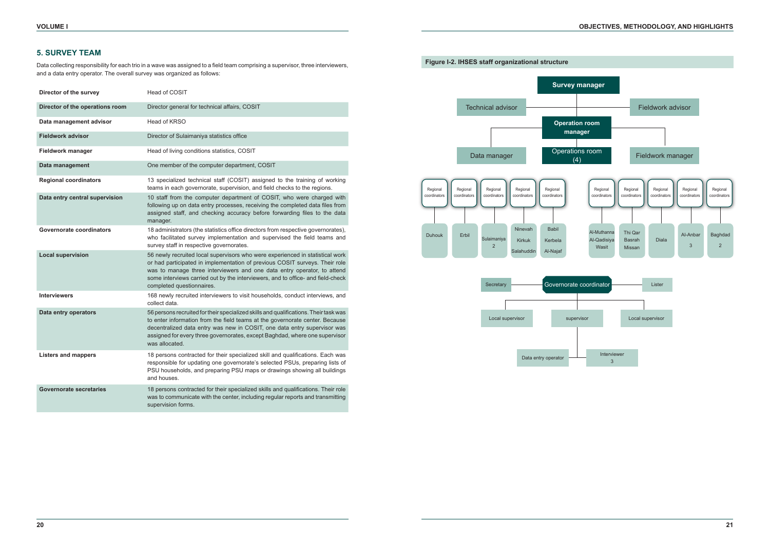# **5. SURVEY TEAM**

Data collecting responsibility for each trio in a wave was assigned to a field team comprising a supervisor, three interviewers, and a data entry operator. The overall survey was organized as follows:

| Director of the survey          | Head of COSIT                                                                                                                                                                                                                                                                                                                                           |
|---------------------------------|---------------------------------------------------------------------------------------------------------------------------------------------------------------------------------------------------------------------------------------------------------------------------------------------------------------------------------------------------------|
| Director of the operations room | Director general for technical affairs, COSIT                                                                                                                                                                                                                                                                                                           |
| Data management advisor         | Head of KRSO                                                                                                                                                                                                                                                                                                                                            |
| <b>Fieldwork advisor</b>        | Director of Sulaimaniya statistics office                                                                                                                                                                                                                                                                                                               |
| Fieldwork manager               | Head of living conditions statistics, COSIT                                                                                                                                                                                                                                                                                                             |
| Data management                 | One member of the computer department, COSIT                                                                                                                                                                                                                                                                                                            |
| <b>Regional coordinators</b>    | 13 specialized technical staff (COSIT) assigned to the training of working<br>teams in each governorate, supervision, and field checks to the regions.                                                                                                                                                                                                  |
| Data entry central supervision  | 10 staff from the computer department of COSIT, who were charged with<br>following up on data entry processes, receiving the completed data files from<br>assigned staff, and checking accuracy before forwarding files to the data<br>manager.                                                                                                         |
| <b>Governorate coordinators</b> | 18 administrators (the statistics office directors from respective governorates),<br>who facilitated survey implementation and supervised the field teams and<br>survey staff in respective governorates.                                                                                                                                               |
| <b>Local supervision</b>        | 56 newly recruited local supervisors who were experienced in statistical work<br>or had participated in implementation of previous COSIT surveys. Their role<br>was to manage three interviewers and one data entry operator, to attend<br>some interviews carried out by the interviewers, and to office- and field-check<br>completed questionnaires. |
| <b>Interviewers</b>             | 168 newly recruited interviewers to visit households, conduct interviews, and<br>collect data.                                                                                                                                                                                                                                                          |
| Data entry operators            | 56 persons recruited for their specialized skills and qualifications. Their task was<br>to enter information from the field teams at the governorate center. Because<br>decentralized data entry was new in COSIT, one data entry supervisor was<br>assigned for every three governorates, except Baghdad, where one supervisor<br>was allocated.       |
| Listers and mappers             | 18 persons contracted for their specialized skill and qualifications. Each was<br>responsible for updating one governorate's selected PSUs, preparing lists of<br>PSU households, and preparing PSU maps or drawings showing all buildings<br>and houses.                                                                                               |
| <b>Governorate secretaries</b>  | 18 persons contracted for their specialized skills and qualifications. Their role<br>was to communicate with the center, including regular reports and transmitting<br>supervision forms.                                                                                                                                                               |





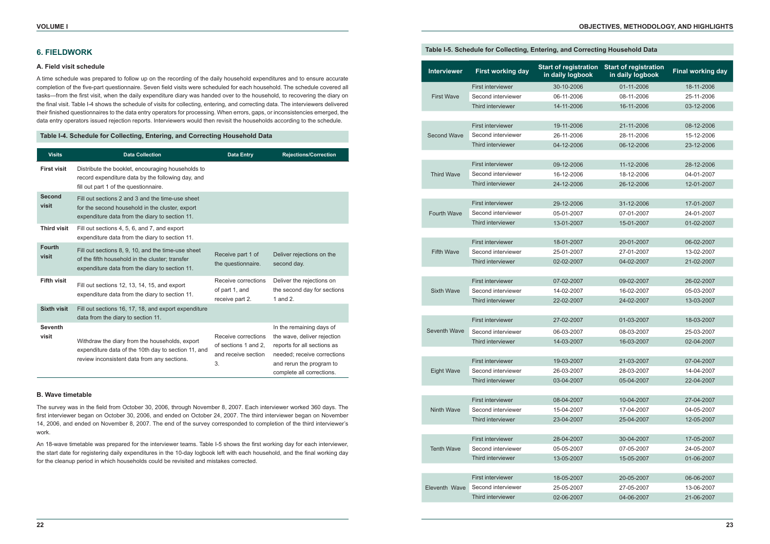# **6. FIELDWORK**

#### **A. Field visit schedule**

A time schedule was prepared to follow up on the recording of the daily household expenditures and to ensure accurate completion of the five-part questionnaire. Seven field visits were scheduled for each household. The schedule covered all tasks—from the first visit, when the daily expenditure diary was handed over to the household, to recovering the diary on the final visit. Table I-4 shows the schedule of visits for collecting, entering, and correcting data. The interviewers delivered their finished questionnaires to the data entry operators for processing. When errors, gaps, or inconsistencies emerged, the data entry operators issued rejection reports. Interviewers would then revisit the households according to the schedule.

### **Table I-4. Schedule for Collecting, Entering, and Correcting Household Data**

| <b>Visits</b>           | <b>Data Collection</b>                                                                                                                                  | <b>Data Entry</b>                                                        | <b>Rejections/Correction</b>                                                                                                                                                   |
|-------------------------|---------------------------------------------------------------------------------------------------------------------------------------------------------|--------------------------------------------------------------------------|--------------------------------------------------------------------------------------------------------------------------------------------------------------------------------|
| <b>First visit</b>      | Distribute the booklet, encouraging households to<br>record expenditure data by the following day, and<br>fill out part 1 of the questionnaire.         |                                                                          |                                                                                                                                                                                |
| <b>Second</b><br>visit  | Fill out sections 2 and 3 and the time-use sheet<br>for the second household in the cluster, export<br>expenditure data from the diary to section 11.   |                                                                          |                                                                                                                                                                                |
| <b>Third visit</b>      | Fill out sections 4, 5, 6, and 7, and export<br>expenditure data from the diary to section 11.                                                          |                                                                          |                                                                                                                                                                                |
| <b>Fourth</b><br>visit  | Fill out sections 8, 9, 10, and the time-use sheet<br>of the fifth household in the cluster: transfer<br>expenditure data from the diary to section 11. | Receive part 1 of<br>the questionnaire.                                  | Deliver rejections on the<br>second day.                                                                                                                                       |
| <b>Fifth visit</b>      | Fill out sections 12, 13, 14, 15, and export<br>expenditure data from the diary to section 11.                                                          | Receive corrections<br>of part 1, and<br>receive part 2.                 | Deliver the rejections on<br>the second day for sections<br>1 and 2.                                                                                                           |
| <b>Sixth visit</b>      | Fill out sections 16, 17, 18, and export expenditure<br>data from the diary to section 11.                                                              |                                                                          |                                                                                                                                                                                |
| <b>Seventh</b><br>visit | Withdraw the diary from the households, export<br>expenditure data of the 10th day to section 11, and<br>review inconsistent data from any sections.    | Receive corrections<br>of sections 1 and 2.<br>and receive section<br>3. | In the remaining days of<br>the wave, deliver rejection<br>reports for all sections as<br>needed; receive corrections<br>and rerun the program to<br>complete all corrections. |

### **B. Wave timetable**

The survey was in the field from October 30, 2006, through November 8, 2007. Each interviewer worked 360 days. The first interviewer began on October 30, 2006, and ended on October 24, 2007. The third interviewer began on November 14, 2006, and ended on November 8, 2007. The end of the survey corresponded to completion of the third interviewer's work.

An 18-wave timetable was prepared for the interviewer teams. Table I-5 shows the first working day for each interviewer, the start date for registering daily expenditures in the 10-day logbook left with each household, and the final working day for the cleanup period in which households could be revisited and mistakes corrected.

### **Table I-5. Schedule for Collecting, Entering, and Correcting Household Data**

| <b>Interviewer</b> | <b>First working day</b>                | <b>Start of registration</b><br>in daily logbook | <b>Start of registration</b><br>in daily logbook | <b>Final working day</b>                                                                       |
|--------------------|-----------------------------------------|--------------------------------------------------|--------------------------------------------------|------------------------------------------------------------------------------------------------|
|                    | <b>First interviewer</b>                | 30-10-2006                                       | 01-11-2006                                       | 18-11-2006                                                                                     |
| <b>First Wave</b>  | Second interviewer                      | 06-11-2006                                       | 08-11-2006                                       | 25-11-2006                                                                                     |
|                    | Third interviewer                       | 14-11-2006                                       | 16-11-2006                                       | 03-12-2006                                                                                     |
|                    |                                         |                                                  |                                                  |                                                                                                |
|                    | <b>First interviewer</b>                | 19-11-2006                                       | 21-11-2006                                       | 08-12-2006                                                                                     |
| <b>Second Wave</b> | Second interviewer                      | 26-11-2006                                       | 28-11-2006                                       | 15-12-2006                                                                                     |
|                    | Third interviewer                       | 04-12-2006                                       | 06-12-2006                                       | 23-12-2006                                                                                     |
|                    |                                         |                                                  |                                                  |                                                                                                |
|                    | <b>First interviewer</b>                | 09-12-2006                                       | 11-12-2006                                       | 28-12-2006                                                                                     |
| <b>Third Wave</b>  | Second interviewer                      | 16-12-2006                                       | 18-12-2006                                       | 04-01-2007                                                                                     |
|                    | Third interviewer                       | 24-12-2006                                       | 26-12-2006                                       | 12-01-2007                                                                                     |
|                    |                                         |                                                  |                                                  |                                                                                                |
|                    | <b>First interviewer</b>                | 29-12-2006                                       | 31-12-2006                                       | 17-01-2007                                                                                     |
| <b>Fourth Wave</b> | Second interviewer                      | 05-01-2007                                       | 07-01-2007                                       | 24-01-2007                                                                                     |
|                    | Third interviewer                       | 13-01-2007                                       | 15-01-2007                                       | 01-02-2007                                                                                     |
|                    |                                         |                                                  |                                                  |                                                                                                |
|                    | <b>First interviewer</b>                | 18-01-2007                                       | 20-01-2007                                       |                                                                                                |
| <b>Fifth Wave</b>  | Second interviewer                      | 25-01-2007                                       | 27-01-2007                                       |                                                                                                |
|                    | Third interviewer                       | 02-02-2007                                       | 04-02-2007                                       |                                                                                                |
|                    |                                         |                                                  |                                                  |                                                                                                |
|                    | <b>First interviewer</b>                | 07-02-2007                                       | 09-02-2007                                       | 06-02-2007<br>13-02-2007<br>21-02-2007<br>26-02-2007<br>05-03-2007<br>13-03-2007<br>18-03-2007 |
| <b>Sixth Wave</b>  | Second interviewer                      | 14-02-2007                                       | 16-02-2007                                       |                                                                                                |
|                    | Third interviewer                       | 22-02-2007                                       | 24-02-2007                                       |                                                                                                |
|                    |                                         |                                                  |                                                  |                                                                                                |
|                    | <b>First interviewer</b>                | 27-02-2007                                       | 01-03-2007                                       |                                                                                                |
| Seventh Wave       | Second interviewer                      | 06-03-2007                                       | 08-03-2007                                       | 25-03-2007                                                                                     |
|                    | Third interviewer                       | 14-03-2007                                       | 16-03-2007                                       | 02-04-2007                                                                                     |
|                    |                                         |                                                  |                                                  |                                                                                                |
|                    | <b>First interviewer</b>                | 19-03-2007                                       | 21-03-2007                                       | 07-04-2007                                                                                     |
| <b>Eight Wave</b>  | Second interviewer                      | 26-03-2007                                       | 28-03-2007                                       | 14-04-2007                                                                                     |
|                    | Third interviewer                       | 03-04-2007                                       | 05-04-2007                                       | 22-04-2007                                                                                     |
|                    |                                         |                                                  |                                                  |                                                                                                |
|                    | <b>First interviewer</b>                | 08-04-2007                                       | 10-04-2007                                       | 27-04-2007                                                                                     |
| <b>Ninth Wave</b>  | Second interviewer<br>Third interviewer | 15-04-2007                                       | 17-04-2007                                       | 04-05-2007                                                                                     |
|                    |                                         | 23-04-2007                                       | 25-04-2007                                       | 12-05-2007                                                                                     |
|                    | <b>First interviewer</b>                |                                                  |                                                  |                                                                                                |
| <b>Tenth Wave</b>  | Second interviewer                      | 28-04-2007<br>05-05-2007                         | 30-04-2007<br>07-05-2007                         | 17-05-2007<br>24-05-2007                                                                       |
|                    | Third interviewer                       |                                                  |                                                  |                                                                                                |
|                    |                                         | 13-05-2007                                       | 15-05-2007                                       | 01-06-2007                                                                                     |
|                    | <b>First interviewer</b>                | 18-05-2007                                       | 20-05-2007                                       | 06-06-2007                                                                                     |
| Eleventh Wave      | Second interviewer                      | 25-05-2007                                       | 27-05-2007                                       | 13-06-2007                                                                                     |
|                    | Third interviewer                       | 02-06-2007                                       | 04-06-2007                                       | 21-06-2007                                                                                     |
|                    |                                         |                                                  |                                                  |                                                                                                |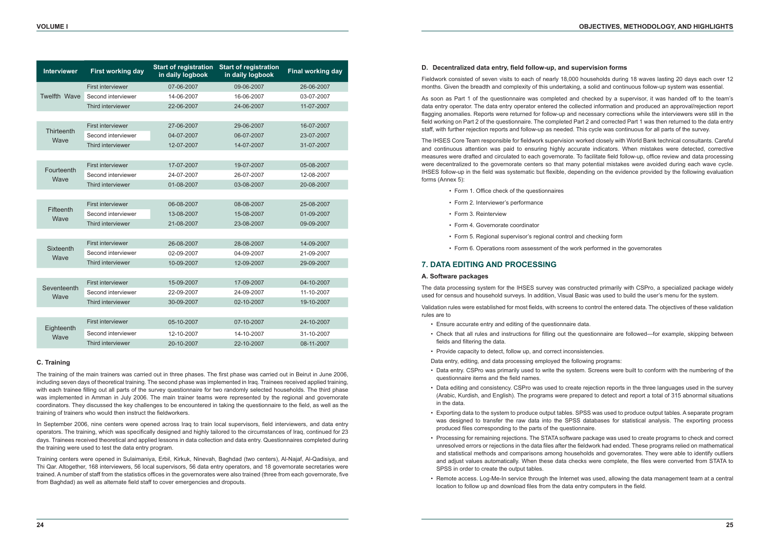| <b>Interviewer</b>  | <b>First working day</b> | <b>Start of registration</b><br>in daily logbook | <b>Start of registration</b><br>in daily logbook | <b>Final working day</b> |
|---------------------|--------------------------|--------------------------------------------------|--------------------------------------------------|--------------------------|
|                     | First interviewer        | 07-06-2007                                       | 09-06-2007                                       | 26-06-2007               |
| <b>Twelfth Wave</b> | Second interviewer       | 14-06-2007                                       | 16-06-2007                                       | 03-07-2007               |
|                     | Third interviewer        | 22-06-2007                                       | 24-06-2007                                       | 11-07-2007               |
|                     |                          |                                                  |                                                  |                          |
|                     | <b>First interviewer</b> | 27-06-2007                                       | 29-06-2007                                       | 16-07-2007               |
| Thirteenth<br>Wave  | Second interviewer       | 04-07-2007                                       | 06-07-2007                                       | 23-07-2007               |
|                     | Third interviewer        | 12-07-2007                                       | 14-07-2007                                       | 31-07-2007               |
|                     |                          |                                                  |                                                  |                          |
|                     | First interviewer        | 17-07-2007                                       | 19-07-2007                                       | 05-08-2007               |
| Fourteenth<br>Wave  | Second interviewer       | 24-07-2007                                       | 26-07-2007                                       | 12-08-2007               |
|                     | Third interviewer        | 01-08-2007                                       | 03-08-2007                                       | 20-08-2007               |
|                     |                          |                                                  |                                                  |                          |
| Fifteenth           | <b>First interviewer</b> | 06-08-2007                                       | 08-08-2007                                       | 25-08-2007               |
| Wave                | Second interviewer       | 13-08-2007                                       | 15-08-2007                                       | 01-09-2007               |
|                     | Third interviewer        | 21-08-2007                                       | 23-08-2007                                       | 09-09-2007               |
|                     |                          |                                                  |                                                  |                          |
|                     | First interviewer        | 26-08-2007                                       | 28-08-2007                                       | 14-09-2007               |
| Sixteenth<br>Wave   | Second interviewer       | 02-09-2007                                       | 04-09-2007                                       | 21-09-2007               |
|                     | Third interviewer        | 10-09-2007                                       | 12-09-2007                                       | 29-09-2007               |
|                     |                          |                                                  |                                                  |                          |
|                     | First interviewer        | 15-09-2007                                       | 17-09-2007                                       | 04-10-2007               |
| Seventeenth<br>Wave | Second interviewer       | 22-09-2007                                       | 24-09-2007                                       | 11-10-2007               |
|                     | Third interviewer        | 30-09-2007                                       | 02-10-2007                                       | 19-10-2007               |
|                     |                          |                                                  |                                                  |                          |
| Eighteenth          | First interviewer        | 05-10-2007                                       | 07-10-2007                                       | 24-10-2007               |
| Wave                | Second interviewer       | 12-10-2007                                       | 14-10-2007                                       | 31-10-2007               |
|                     | Third interviewer        | 20-10-2007                                       | 22-10-2007                                       | 08-11-2007               |

### **C. Training**

The training of the main trainers was carried out in three phases. The first phase was carried out in Beirut in June 2006, including seven days of theoretical training. The second phase was implemented in Iraq. Trainees received applied training, with each trainee filling out all parts of the survey questionnaire for two randomly selected households. The third phase was implemented in Amman in July 2006. The main trainer teams were represented by the regional and governorate coordinators. They discussed the key challenges to be encountered in taking the questionnaire to the field, as well as the training of trainers who would then instruct the fieldworkers.

In September 2006, nine centers were opened across Iraq to train local supervisors, field interviewers, and data entry operators. The training, which was specifically designed and highly tailored to the circumstances of Iraq, continued for 23 days. Trainees received theoretical and applied lessons in data collection and data entry. Questionnaires completed during the training were used to test the data entry program.

Training centers were opened in Sulaimaniya, Erbil, Kirkuk, Ninevah, Baghdad (two centers), Al-Najaf, Al-Qadisiya, and Thi Qar. Altogether, 168 interviewers, 56 local supervisors, 56 data entry operators, and 18 governorate secretaries were trained. A number of staff from the statistics offices in the governorates were also trained (three from each governorate, five from Baghdad) as well as alternate field staff to cover emergencies and dropouts.

# **D. Decentralized data entry, field follow-up, and supervision forms**

Fieldwork consisted of seven visits to each of nearly 18,000 households during 18 waves lasting 20 days each over 12 months. Given the breadth and complexity of this undertaking, a solid and continuous follow-up system was essential.

As soon as Part 1 of the questionnaire was completed and checked by a supervisor, it was handed off to the team's data entry operator. The data entry operator entered the collected information and produced an approval/rejection report flagging anomalies. Reports were returned for follow-up and necessary corrections while the interviewers were still in the field working on Part 2 of the questionnaire. The completed Part 2 and corrected Part 1 was then returned to the data entry staff, with further rejection reports and follow-up as needed. This cycle was continuous for all parts of the survey.

The IHSES Core Team responsible for fieldwork supervision worked closely with World Bank technical consultants. Careful and continuous attention was paid to ensuring highly accurate indicators. When mistakes were detected, corrective measures were drafted and circulated to each governorate. To facilitate field follow-up, office review and data processing were decentralized to the governorate centers so that many potential mistakes were avoided during each wave cycle. IHSES follow-up in the field was systematic but flexible, depending on the evidence provided by the following evaluation forms (Annex 5):

- Form 1. Office check of the questionnaires
- Form 2. Interviewer's performance
- Form 3. Reinterview
- Form 4. Governorate coordinator
- Form 5. Regional supervisor's regional control and checking form
- Form 6. Operations room assessment of the work performed in the governorates

# **7. DATA EDITING AND PROCESSING**

#### **A. Software packages**

The data processing system for the IHSES survey was constructed primarily with CSPro, a specialized package widely used for census and household surveys. In addition, Visual Basic was used to build the user's menu for the system.

Validation rules were established for most fields, with screens to control the entered data. The objectives of these validation rules are to

• Check that all rules and instructions for filling out the questionnaire are followed—for example, skipping between

• Data entry. CSPro was primarily used to write the system. Screens were built to conform with the numbering of the

• Data editing and consistency. CSPro was used to create rejection reports in the three languages used in the survey (Arabic, Kurdish, and English). The programs were prepared to detect and report a total of 315 abnormal situations

- Ensure accurate entry and editing of the questionnaire data.
- fields and filtering the data.
- Provide capacity to detect, follow up, and correct inconsistencies.
- Data entry, editing, and data processing employed the following programs:
- questionnaire items and the field names.
- in the data.
- produced files corresponding to the parts of the questionnaire.
- SPSS in order to create the output tables.
- location to follow up and download files from the data entry computers in the field.

• Exporting data to the system to produce output tables. SPSS was used to produce output tables. A separate program was designed to transfer the raw data into the SPSS databases for statistical analysis. The exporting process

• Processing for remaining rejections. The STATA software package was used to create programs to check and correct unresolved errors or rejections in the data files after the fieldwork had ended. These programs relied on mathematical and statistical methods and comparisons among households and governorates. They were able to identify outliers and adjust values automatically. When these data checks were complete, the files were converted from STATA to

• Remote access. Log-Me-In service through the Internet was used, allowing the data management team at a central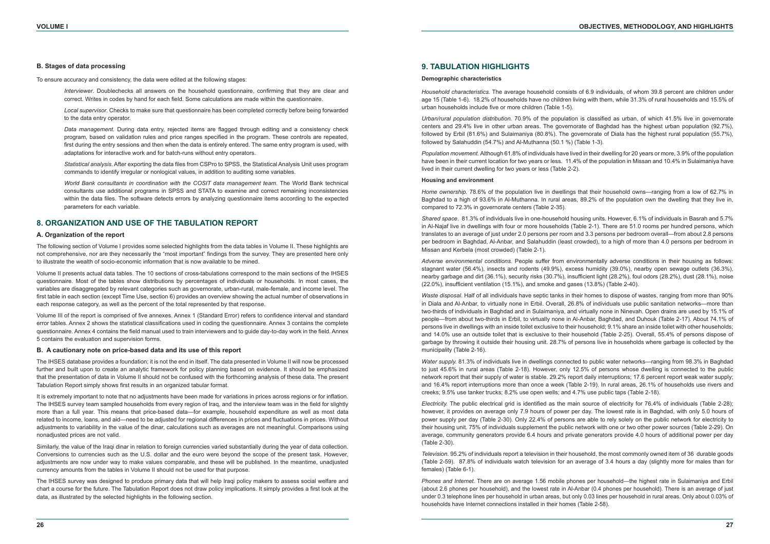#### **B. Stages of data processing**

To ensure accuracy and consistency, the data were edited at the following stages:

*Interviewer*. Doublechecks all answers on the household questionnaire, confirming that they are clear and correct. Writes in codes by hand for each field. Some calculations are made within the questionnaire.

*Local supervisor*. Checks to make sure that questionnaire has been completed correctly before being forwarded to the data entry operator.

*Data management.* During data entry, rejected items are flagged through editing and a consistency check program, based on validation rules and price ranges specified in the program. These controls are repeated, first during the entry sessions and then when the data is entirely entered. The same entry program is used, with adaptations for interactive work and for batch-runs without entry operators.

*World Bank consultants in coordination with the COSIT data management team.* The World Bank technical consultants use additional programs in SPSS and STATA to examine and correct remaining inconsistencies within the data files. The software detects errors by analyzing questionnaire items according to the expected parameters for each variable.

*Statistical analysis*. After exporting the data files from CSPro to SPSS, the Statistical Analysis Unit uses program commands to identify irregular or nonlogical values, in addition to auditing some variables.

# **8. ORGANIZATION AND USE OF THE TABULATION REPORT**

#### **A. Organization of the report**

The following section of Volume I provides some selected highlights from the data tables in Volume II. These highlights are not comprehensive, nor are they necessarily the "most important" findings from the survey. They are presented here only to illustrate the wealth of socio-economic information that is now available to be mined.

Volume II presents actual data tables. The 10 sections of cross-tabulations correspond to the main sections of the IHSES questionnaire. Most of the tables show distributions by percentages of individuals or households. In most cases, the variables are disaggregated by relevant categories such as governorate, urban-rural, male-female, and income level. The first table in each section (except Time Use, section 6) provides an overview showing the actual number of observations in each response category, as well as the percent of the total represented by that response.

Volume III of the report is comprised of five annexes. Annex 1 (Standard Error) refers to confidence interval and standard error tables. Annex 2 shows the statistical classifications used in coding the questionnaire. Annex 3 contains the complete questionnaire. Annex 4 contains the field manual used to train interviewers and to guide day-to-day work in the field. Annex 5 contains the evaluation and supervision forms.

#### **B. A cautionary note on price-based data and its use of this report**

The IHSES database provides a foundation; it is not the end in itself. The data presented in Volume II will now be processed further and built upon to create an analytic framework for policy planning based on evidence. It should be emphasized that the presentation of data in Volume II should not be confused with the forthcoming analysis of these data. The present Tabulation Report simply shows first results in an organized tabular format.

It is extremely important to note that no adjustments have been made for variations in prices across regions or for inflation. The IHSES survey team sampled households from every region of Iraq, and the interview team was in the field for slightly more than a full year. This means that price-based data—for example, household expenditure as well as most data related to income, loans, and aid—need to be adjusted for regional differences in prices and fluctuations in prices. Without adjustments to variability in the value of the dinar, calculations such as averages are not meaningful. Comparisons using nonadjusted prices are not valid.

Similarly, the value of the Iraqi dinar in relation to foreign currencies varied substantially during the year of data collection. Conversions to currencies such as the U.S. dollar and the euro were beyond the scope of the present task. However, adjustments are now under way to make values comparable, and these will be published. In the meantime, unadjusted currency amounts from the tables in Volume II should not be used for that purpose.

The IHSES survey was designed to produce primary data that will help Iraqi policy makers to assess social welfare and chart a course for the future. The Tabulation Report does not draw policy implications. It simply provides a first look at the data, as illustrated by the selected highlights in the following section.

# **9. TABULATION HIGHLIGHTS**

#### **Demographic characteristics**

*Household characteristics.* The average household consists of 6.9 individuals, of whom 39.8 percent are children under age 15 (Table 1-6). 18.2% of households have no children living with them, while 31.3% of rural households and 15.5% of urban households include five or more children (Table 1-5).

*Urban/rural population distribution.* 70.9% of the population is classified as urban, of which 41.5% live in governorate centers and 29.4% live in other urban areas. The governorate of Baghdad has the highest urban population (92.7%), followed by Erbil (81.6%) and Sulaimaniya (80.8%). The governorate of Diala has the highest rural population (55.7%), followed by Salahuddin (54.7%) and Al-Muthanna (50.1 %) (Table 1-3).

*Population movement.* Although 61.8% of individuals have lived in their dwelling for 20 years or more, 3.9% of the population have been in their current location for two years or less. 11.4% of the population in Missan and 10.4% in Sulaimaniya have lived in their current dwelling for two years or less (Table 2-2).

#### **Housing and environment**

*Home ownership.* 78.6% of the population live in dwellings that their household owns—ranging from a low of 62.7% in Baghdad to a high of 93.6% in Al-Muthanna. In rural areas, 89.2% of the population own the dwelling that they live in, compared to 72.3% in governorate centers (Table 2-35).

*Shared space*. 81.3% of individuals live in one-household housing units. However, 6.1% of individuals in Basrah and 5.7% in Al-Najaf live in dwellings with four or more households (Table 2-1). There are 51.0 rooms per hundred persons, which translates to an average of just under 2.0 persons per room and 3.3 persons per bedroom overall—from about 2.8 persons per bedroom in Baghdad, Al-Anbar, and Salahuddin (least crowded), to a high of more than 4.0 persons per bedroom in Missan and Kerbela (most crowded) (Table 2-1).

*Adverse environmental conditions.* People suffer from environmentally adverse conditions in their housing as follows: stagnant water (56.4%), insects and rodents (49.9%), excess humidity (39.0%), nearby open sewage outlets (36.3%), nearby garbage and dirt (36.1%), security risks (30.7%), insufficient light (28.2%), foul odors (28.2%), dust (28.1%), noise (22.0%), insufficient ventilation (15.1%), and smoke and gases (13.8%) (Table 2-40).

*Waste disposal*. Half of all individuals have septic tanks in their homes to dispose of wastes, ranging from more than 90% in Diala and Al-Anbar, to virtually none in Erbil. Overall, 26.8% of individuals use public sanitation networks—more than two-thirds of individuals in Baghdad and in Sulaimaniya, and virtually none in Ninevah. Open drains are used by 15.1% of people—from about two-thirds in Erbil, to virtually none in Al-Anbar, Baghdad, and Duhouk (Table 2-17). About 74.1% of persons live in dwellings with an inside toilet exclusive to their household; 9.1% share an inside toilet with other households; and 14.0% use an outside toilet that is exclusive to their household (Table 2-25). Overall, 55.4% of persons dispose of garbage by throwing it outside their housing unit. 28.7% of persons live in households where garbage is collected by the municipality (Table 2-16).

*Water supply.* 81.3% of individuals live in dwellings connected to public water networks—ranging from 98.3% in Baghdad to just 45.6% in rural areas (Table 2-18). However, only 12.5% of persons whose dwelling is connected to the public network report that their supply of water is stable. 29.2% report daily interruptions; 17.6 percent report weak water supply; and 16.4% report interruptions more than once a week (Table 2-19). In rural areas, 26.1% of households use rivers and creeks; 9.5% use tanker trucks; 8.2% use open wells; and 4.7% use public taps (Table 2-18).

*Electricity.* The public electrical grid is identified as the main source of electricity for 76.4% of individuals (Table 2-28); however, it provides on average only 7.9 hours of power per day. The lowest rate is in Baghdad, with only 5.0 hours of power supply per day (Table 2-30). Only 22.4% of persons are able to rely solely on the public network for electricity to their housing unit. 75% of individuals supplement the public network with one or two other power sources (Table 2-29). On average, community generators provide 6.4 hours and private generators provide 4.0 hours of additional power per day (Table 2-30).

*Television*. 95.2% of individuals report a television in their household, the most commonly owned item of 36 durable goods (Table 2-59). 87.8% of individuals watch television for an average of 3.4 hours a day (slightly more for males than for females) (Table 6-1).

*Phones and Internet.* There are on average 1.56 mobile phones per household—the highest rate in Sulaimaniya and Erbil (about 2.6 phones per household), and the lowest rate in Al-Anbar (0.4 phones per household). There is an average of just under 0.3 telephone lines per household in urban areas, but only 0.03 lines per household in rural areas. Only about 0.03% of households have Internet connections installed in their homes (Table 2-58).